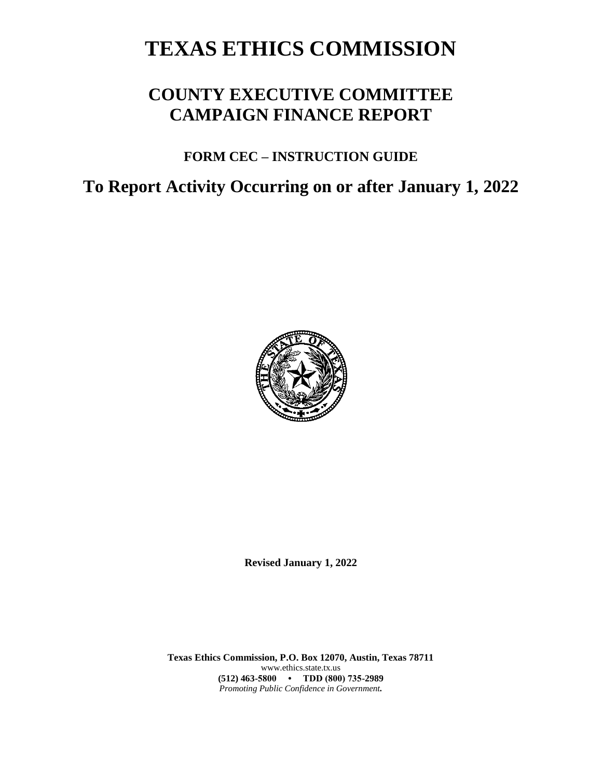# **TEXAS ETHICS COMMISSION**

## **COUNTY EXECUTIVE COMMITTEE CAMPAIGN FINANCE REPORT**

### **FORM CEC – INSTRUCTION GUIDE**

## **To Report Activity Occurring on or after January 1, 2022**



**Revised January 1, 2022**

**Texas Ethics Commission, P.O. Box 12070, Austin, Texas 78711** www.ethics.state.tx.us **(512) 463-5800 • TDD (800) 735-2989** *Promoting Public Confidence in Government.*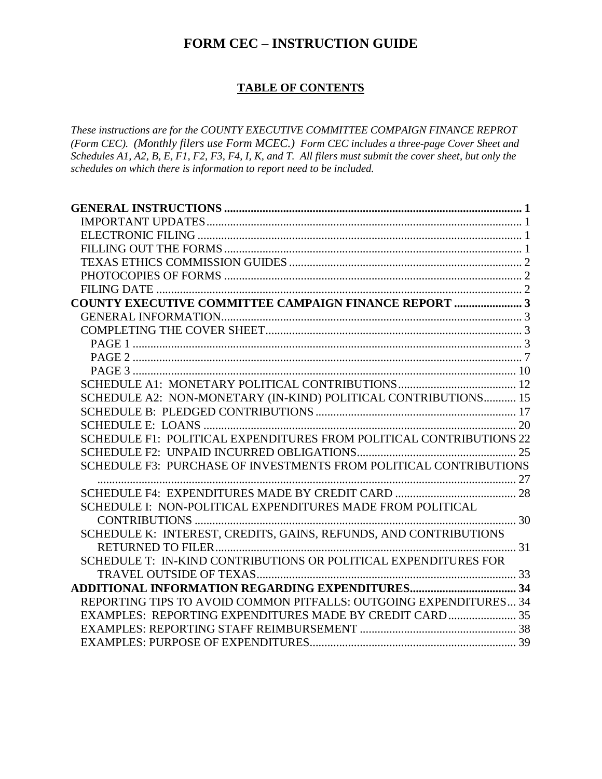### **FORM CEC – INSTRUCTION GUIDE**

#### **TABLE OF CONTENTS**

*These instructions are for the COUNTY EXECUTIVE COMMITTEE COMPAIGN FINANCE REPROT (Form CEC). (Monthly filers use Form MCEC.) Form CEC includes a three-page Cover Sheet and Schedules A1, A2, B, E, F1, F2, F3, F4, I, K, and T. All filers must submit the cover sheet, but only the schedules on which there is information to report need to be included.*

| <b>COUNTY EXECUTIVE COMMITTEE CAMPAIGN FINANCE REPORT  3</b>        |  |
|---------------------------------------------------------------------|--|
|                                                                     |  |
|                                                                     |  |
|                                                                     |  |
|                                                                     |  |
|                                                                     |  |
|                                                                     |  |
| SCHEDULE A2: NON-MONETARY (IN-KIND) POLITICAL CONTRIBUTIONS 15      |  |
|                                                                     |  |
|                                                                     |  |
| SCHEDULE F1: POLITICAL EXPENDITURES FROM POLITICAL CONTRIBUTIONS 22 |  |
|                                                                     |  |
| SCHEDULE F3: PURCHASE OF INVESTMENTS FROM POLITICAL CONTRIBUTIONS   |  |
|                                                                     |  |
|                                                                     |  |
| SCHEDULE I: NON-POLITICAL EXPENDITURES MADE FROM POLITICAL          |  |
|                                                                     |  |
| SCHEDULE K: INTEREST, CREDITS, GAINS, REFUNDS, AND CONTRIBUTIONS    |  |
|                                                                     |  |
| SCHEDULE T: IN-KIND CONTRIBUTIONS OR POLITICAL EXPENDITURES FOR     |  |
|                                                                     |  |
|                                                                     |  |
| REPORTING TIPS TO AVOID COMMON PITFALLS: OUTGOING EXPENDITURES 34   |  |
| EXAMPLES: REPORTING EXPENDITURES MADE BY CREDIT CARD 35             |  |
|                                                                     |  |
|                                                                     |  |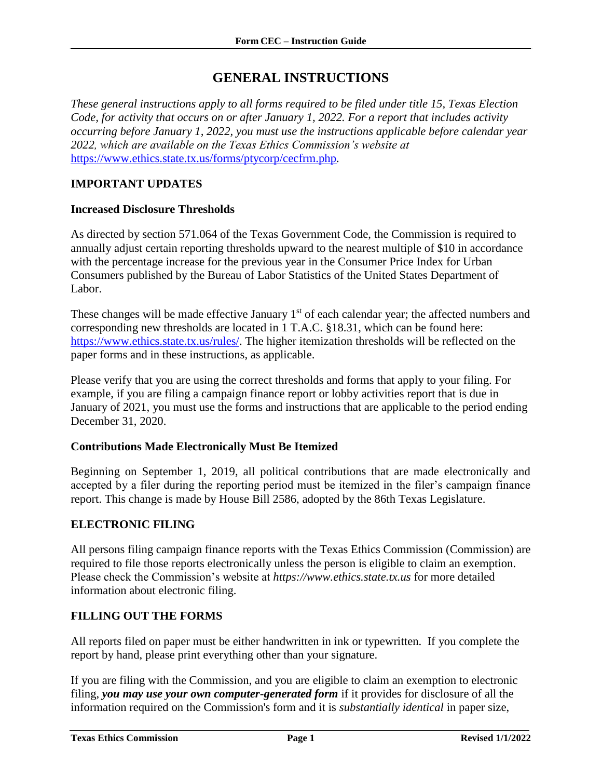### **GENERAL INSTRUCTIONS**

<span id="page-2-0"></span>*These general instructions apply to all forms required to be filed under title 15, Texas Election Code, for activity that occurs on or after January 1, 2022. For a report that includes activity occurring before January 1, 2022, you must use the instructions applicable before calendar year 2022, which are available on the Texas Ethics Commission's website at*  <https://www.ethics.state.tx.us/forms/ptycorp/cecfrm.php>*.*

### <span id="page-2-1"></span>**IMPORTANT UPDATES**

#### **Increased Disclosure Thresholds**

As directed by section 571.064 of the Texas Government Code, the Commission is required to annually adjust certain reporting thresholds upward to the nearest multiple of \$10 in accordance with the percentage increase for the previous year in the Consumer Price Index for Urban Consumers published by the Bureau of Labor Statistics of the United States Department of Labor.

These changes will be made effective January  $1<sup>st</sup>$  of each calendar year; the affected numbers and corresponding new thresholds are located in 1 T.A.C. §18.31, which can be found here: [https://www.ethics.state.tx.us/rules/.](https://www.ethics.state.tx.us/rules/) The higher itemization thresholds will be reflected on the paper forms and in these instructions, as applicable.

Please verify that you are using the correct thresholds and forms that apply to your filing. For example, if you are filing a campaign finance report or lobby activities report that is due in January of 2021, you must use the forms and instructions that are applicable to the period ending December 31, 2020.

#### **Contributions Made Electronically Must Be Itemized**

Beginning on September 1, 2019, all political contributions that are made electronically and accepted by a filer during the reporting period must be itemized in the filer's campaign finance report. This change is made by House Bill 2586, adopted by the 86th Texas Legislature.

#### <span id="page-2-2"></span>**ELECTRONIC FILING**

All persons filing campaign finance reports with the Texas Ethics Commission (Commission) are required to file those reports electronically unless the person is eligible to claim an exemption. Please check the Commission's website at *https://www.ethics.state.tx.us* for more detailed information about electronic filing.

#### <span id="page-2-3"></span>**FILLING OUT THE FORMS**

All reports filed on paper must be either handwritten in ink or typewritten. If you complete the report by hand, please print everything other than your signature.

If you are filing with the Commission, and you are eligible to claim an exemption to electronic filing, *you may use your own computer-generated form* if it provides for disclosure of all the information required on the Commission's form and it is *substantially identical* in paper size,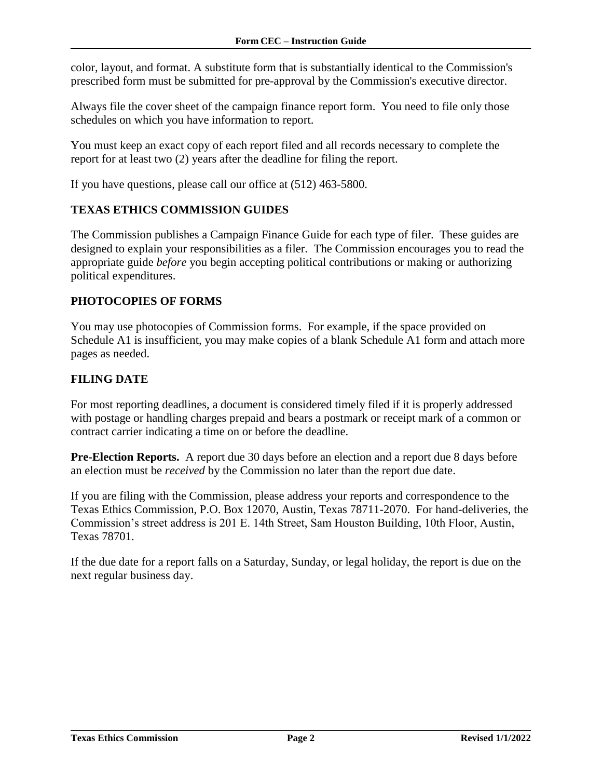color, layout, and format. A substitute form that is substantially identical to the Commission's prescribed form must be submitted for pre-approval by the Commission's executive director.

Always file the cover sheet of the campaign finance report form. You need to file only those schedules on which you have information to report.

You must keep an exact copy of each report filed and all records necessary to complete the report for at least two (2) years after the deadline for filing the report.

If you have questions, please call our office at (512) 463-5800.

#### <span id="page-3-0"></span>**TEXAS ETHICS COMMISSION GUIDES**

The Commission publishes a Campaign Finance Guide for each type of filer. These guides are designed to explain your responsibilities as a filer. The Commission encourages you to read the appropriate guide *before* you begin accepting political contributions or making or authorizing political expenditures.

#### <span id="page-3-1"></span>**PHOTOCOPIES OF FORMS**

You may use photocopies of Commission forms. For example, if the space provided on Schedule A1 is insufficient, you may make copies of a blank Schedule A1 form and attach more pages as needed.

#### <span id="page-3-2"></span>**FILING DATE**

For most reporting deadlines, a document is considered timely filed if it is properly addressed with postage or handling charges prepaid and bears a postmark or receipt mark of a common or contract carrier indicating a time on or before the deadline.

**Pre-Election Reports.** A report due 30 days before an election and a report due 8 days before an election must be *received* by the Commission no later than the report due date.

If you are filing with the Commission, please address your reports and correspondence to the Texas Ethics Commission, P.O. Box 12070, Austin, Texas 78711-2070. For hand-deliveries, the Commission's street address is 201 E. 14th Street, Sam Houston Building, 10th Floor, Austin, Texas 78701.

If the due date for a report falls on a Saturday, Sunday, or legal holiday, the report is due on the next regular business day.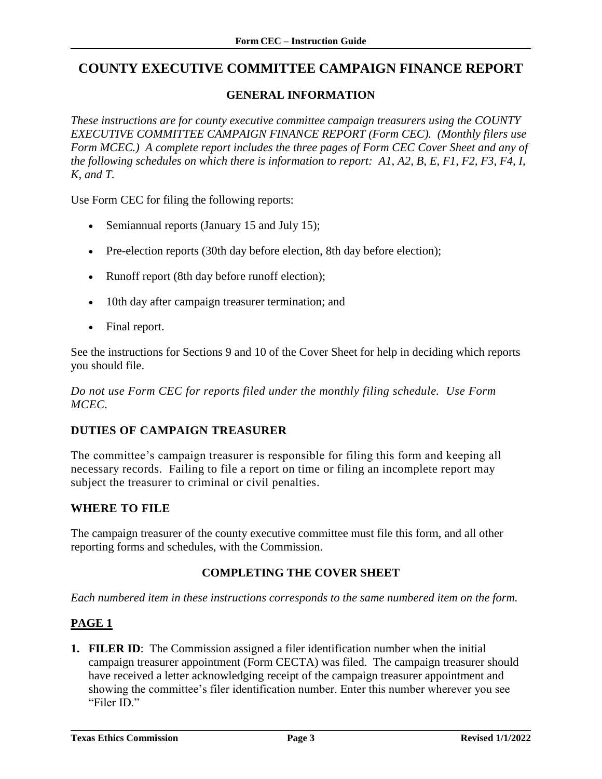### <span id="page-4-0"></span>**COUNTY EXECUTIVE COMMITTEE CAMPAIGN FINANCE REPORT**

### **GENERAL INFORMATION**

<span id="page-4-1"></span>*These instructions are for county executive committee campaign treasurers using the COUNTY EXECUTIVE COMMITTEE CAMPAIGN FINANCE REPORT (Form CEC). (Monthly filers use Form MCEC.) A complete report includes the three pages of Form CEC Cover Sheet and any of the following schedules on which there is information to report: A1, A2, B, E, F1, F2, F3, F4, I, K, and T.*

Use Form CEC for filing the following reports:

- Semiannual reports (January 15 and July 15);
- Pre-election reports (30th day before election, 8th day before election);
- Runoff report (8th day before runoff election);
- 10th day after campaign treasurer termination; and
- Final report.

See the instructions for Sections 9 and 10 of the Cover Sheet for help in deciding which reports you should file.

*Do not use Form CEC for reports filed under the monthly filing schedule. Use Form MCEC.*

#### **DUTIES OF CAMPAIGN TREASURER**

The committee's campaign treasurer is responsible for filing this form and keeping all necessary records. Failing to file a report on time or filing an incomplete report may subject the treasurer to criminal or civil penalties.

#### **WHERE TO FILE**

The campaign treasurer of the county executive committee must file this form, and all other reporting forms and schedules, with the Commission.

#### **COMPLETING THE COVER SHEET**

<span id="page-4-2"></span>*Each numbered item in these instructions corresponds to the same numbered item on the form.*

#### <span id="page-4-3"></span>**PAGE 1**

**1. FILER ID**: The Commission assigned a filer identification number when the initial campaign treasurer appointment (Form CECTA) was filed. The campaign treasurer should have received a letter acknowledging receipt of the campaign treasurer appointment and showing the committee's filer identification number. Enter this number wherever you see "Filer ID."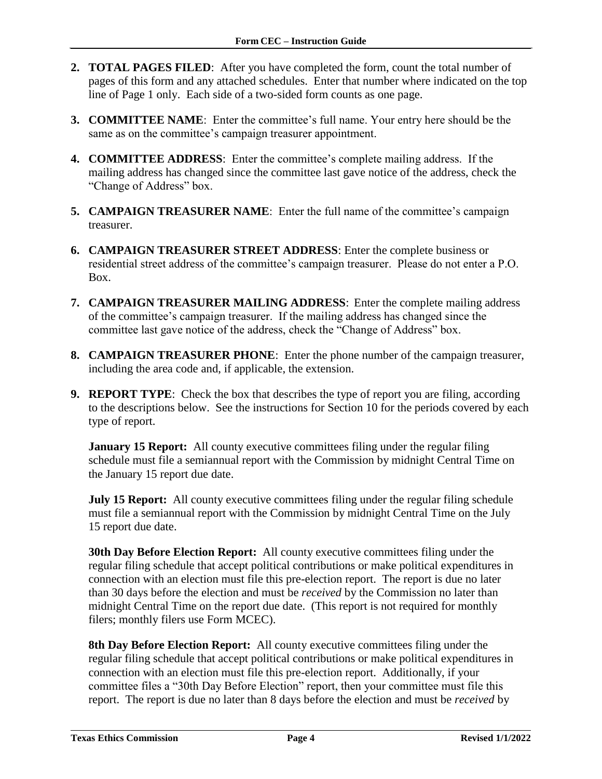- **2. TOTAL PAGES FILED**: After you have completed the form, count the total number of pages of this form and any attached schedules. Enter that number where indicated on the top line of Page 1 only. Each side of a two-sided form counts as one page.
- **3. COMMITTEE NAME**: Enter the committee's full name. Your entry here should be the same as on the committee's campaign treasurer appointment.
- **4. COMMITTEE ADDRESS**: Enter the committee's complete mailing address. If the mailing address has changed since the committee last gave notice of the address, check the "Change of Address" box.
- **5. CAMPAIGN TREASURER NAME**: Enter the full name of the committee's campaign treasurer.
- **6. CAMPAIGN TREASURER STREET ADDRESS**: Enter the complete business or residential street address of the committee's campaign treasurer. Please do not enter a P.O. Box.
- **7. CAMPAIGN TREASURER MAILING ADDRESS**: Enter the complete mailing address of the committee's campaign treasurer. If the mailing address has changed since the committee last gave notice of the address, check the "Change of Address" box.
- **8. CAMPAIGN TREASURER PHONE**: Enter the phone number of the campaign treasurer, including the area code and, if applicable, the extension.
- **9. REPORT TYPE**: Check the box that describes the type of report you are filing, according to the descriptions below. See the instructions for Section 10 for the periods covered by each type of report.

**January 15 Report:** All county executive committees filing under the regular filing schedule must file a semiannual report with the Commission by midnight Central Time on the January 15 report due date.

**July 15 Report:** All county executive committees filing under the regular filing schedule must file a semiannual report with the Commission by midnight Central Time on the July 15 report due date.

**30th Day Before Election Report:** All county executive committees filing under the regular filing schedule that accept political contributions or make political expenditures in connection with an election must file this pre-election report. The report is due no later than 30 days before the election and must be *received* by the Commission no later than midnight Central Time on the report due date. (This report is not required for monthly filers; monthly filers use Form MCEC).

**8th Day Before Election Report:** All county executive committees filing under the regular filing schedule that accept political contributions or make political expenditures in connection with an election must file this pre-election report. Additionally, if your committee files a "30th Day Before Election" report, then your committee must file this report. The report is due no later than 8 days before the election and must be *received* by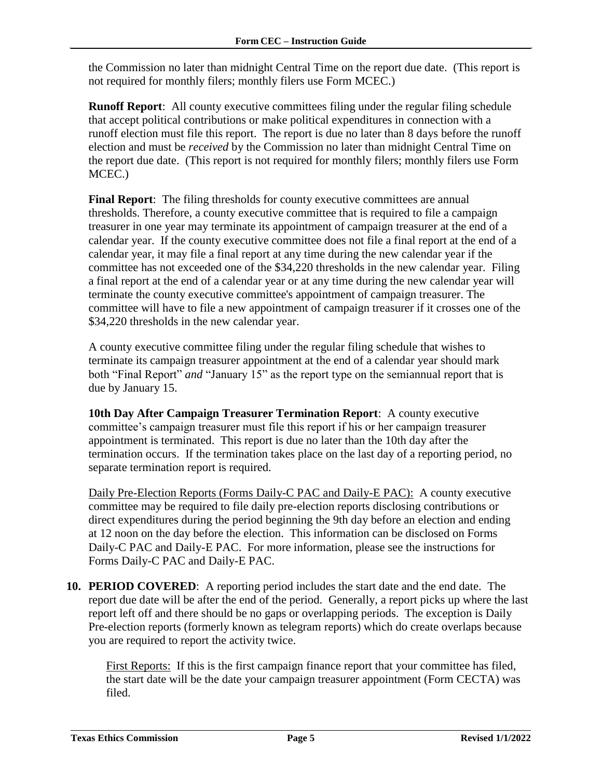the Commission no later than midnight Central Time on the report due date. (This report is not required for monthly filers; monthly filers use Form MCEC.)

**Runoff Report**: All county executive committees filing under the regular filing schedule that accept political contributions or make political expenditures in connection with a runoff election must file this report. The report is due no later than 8 days before the runoff election and must be *received* by the Commission no later than midnight Central Time on the report due date. (This report is not required for monthly filers; monthly filers use Form MCEC.)

**Final Report:** The filing thresholds for county executive committees are annual thresholds. Therefore, a county executive committee that is required to file a campaign treasurer in one year may terminate its appointment of campaign treasurer at the end of a calendar year. If the county executive committee does not file a final report at the end of a calendar year, it may file a final report at any time during the new calendar year if the committee has not exceeded one of the \$34,220 thresholds in the new calendar year. Filing a final report at the end of a calendar year or at any time during the new calendar year will terminate the county executive committee's appointment of campaign treasurer. The committee will have to file a new appointment of campaign treasurer if it crosses one of the \$34,220 thresholds in the new calendar year.

A county executive committee filing under the regular filing schedule that wishes to terminate its campaign treasurer appointment at the end of a calendar year should mark both "Final Report" *and* "January 15" as the report type on the semiannual report that is due by January 15.

**10th Day After Campaign Treasurer Termination Report**: A county executive committee's campaign treasurer must file this report if his or her campaign treasurer appointment is terminated. This report is due no later than the 10th day after the termination occurs. If the termination takes place on the last day of a reporting period, no separate termination report is required.

Daily Pre-Election Reports (Forms Daily-C PAC and Daily-E PAC): A county executive committee may be required to file daily pre-election reports disclosing contributions or direct expenditures during the period beginning the 9th day before an election and ending at 12 noon on the day before the election. This information can be disclosed on Forms Daily-C PAC and Daily-E PAC. For more information, please see the instructions for Forms Daily-C PAC and Daily-E PAC.

**10. PERIOD COVERED**: A reporting period includes the start date and the end date. The report due date will be after the end of the period. Generally, a report picks up where the last report left off and there should be no gaps or overlapping periods. The exception is Daily Pre-election reports (formerly known as telegram reports) which do create overlaps because you are required to report the activity twice.

First Reports: If this is the first campaign finance report that your committee has filed, the start date will be the date your campaign treasurer appointment (Form CECTA) was filed.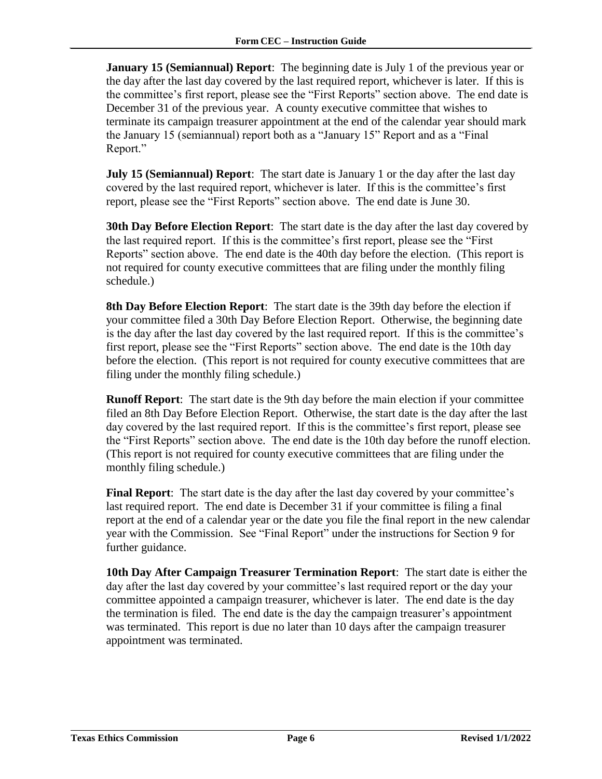**January 15 (Semiannual) Report**: The beginning date is July 1 of the previous year or the day after the last day covered by the last required report, whichever is later. If this is the committee's first report, please see the "First Reports" section above. The end date is December 31 of the previous year. A county executive committee that wishes to terminate its campaign treasurer appointment at the end of the calendar year should mark the January 15 (semiannual) report both as a "January 15" Report and as a "Final Report."

**July 15 (Semiannual) Report**: The start date is January 1 or the day after the last day covered by the last required report, whichever is later. If this is the committee's first report, please see the "First Reports" section above. The end date is June 30.

**30th Day Before Election Report**: The start date is the day after the last day covered by the last required report. If this is the committee's first report, please see the "First Reports" section above. The end date is the 40th day before the election. (This report is not required for county executive committees that are filing under the monthly filing schedule.)

**8th Day Before Election Report**: The start date is the 39th day before the election if your committee filed a 30th Day Before Election Report. Otherwise, the beginning date is the day after the last day covered by the last required report. If this is the committee's first report, please see the "First Reports" section above. The end date is the 10th day before the election. (This report is not required for county executive committees that are filing under the monthly filing schedule.)

**Runoff Report**: The start date is the 9th day before the main election if your committee filed an 8th Day Before Election Report. Otherwise, the start date is the day after the last day covered by the last required report. If this is the committee's first report, please see the "First Reports" section above. The end date is the 10th day before the runoff election. (This report is not required for county executive committees that are filing under the monthly filing schedule.)

**Final Report**: The start date is the day after the last day covered by your committee's last required report. The end date is December 31 if your committee is filing a final report at the end of a calendar year or the date you file the final report in the new calendar year with the Commission. See "Final Report" under the instructions for Section 9 for further guidance.

**10th Day After Campaign Treasurer Termination Report**: The start date is either the day after the last day covered by your committee's last required report or the day your committee appointed a campaign treasurer, whichever is later. The end date is the day the termination is filed. The end date is the day the campaign treasurer's appointment was terminated. This report is due no later than 10 days after the campaign treasurer appointment was terminated.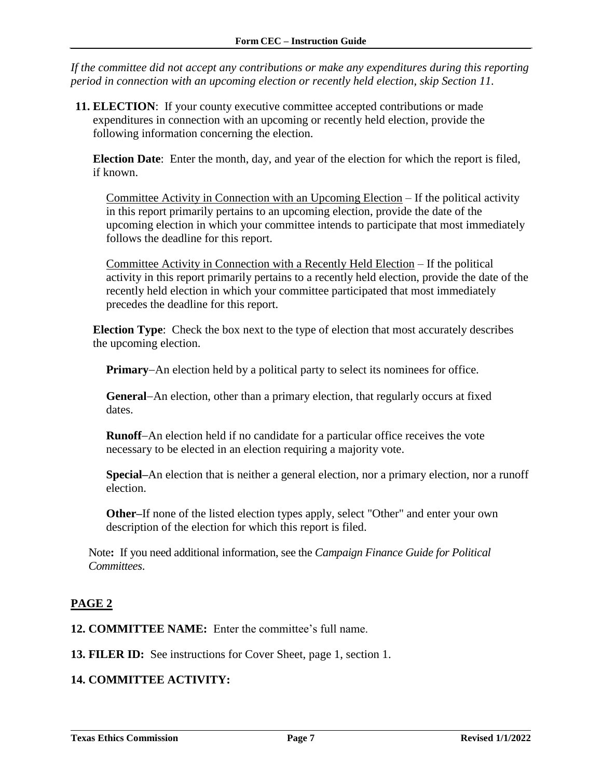*If the committee did not accept any contributions or make any expenditures during this reporting period in connection with an upcoming election or recently held election, skip Section 11.*

**11. ELECTION**: If your county executive committee accepted contributions or made expenditures in connection with an upcoming or recently held election, provide the following information concerning the election.

**Election Date**: Enter the month, day, and year of the election for which the report is filed, if known.

Committee Activity in Connection with an Upcoming Election – If the political activity in this report primarily pertains to an upcoming election, provide the date of the upcoming election in which your committee intends to participate that most immediately follows the deadline for this report.

Committee Activity in Connection with a Recently Held Election – If the political activity in this report primarily pertains to a recently held election, provide the date of the recently held election in which your committee participated that most immediately precedes the deadline for this report.

**Election Type**: Check the box next to the type of election that most accurately describes the upcoming election.

**Primary–An election held by a political party to select its nominees for office.** 

**General**–An election, other than a primary election, that regularly occurs at fixed dates.

**Runoff-An election held if no candidate for a particular office receives the vote** necessary to be elected in an election requiring a majority vote.

**Special–**An election that is neither a general election, nor a primary election, nor a runoff election.

**Other–**If none of the listed election types apply, select "Other" and enter your own description of the election for which this report is filed.

Note**:** If you need additional information, see the *Campaign Finance Guide for Political Committees*.

### <span id="page-8-0"></span>**PAGE 2**

**12. COMMITTEE NAME:** Enter the committee's full name.

**13. FILER ID:** See instructions for Cover Sheet, page 1, section 1.

#### **14. COMMITTEE ACTIVITY:**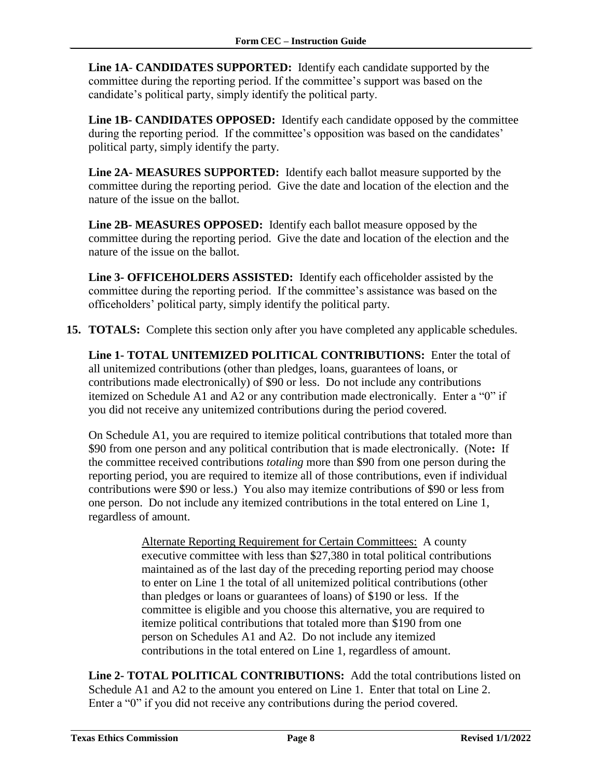**Line 1A**- **CANDIDATES SUPPORTED:** Identify each candidate supported by the committee during the reporting period. If the committee's support was based on the candidate's political party, simply identify the political party.

**Line 1B- CANDIDATES OPPOSED:** Identify each candidate opposed by the committee during the reporting period. If the committee's opposition was based on the candidates' political party, simply identify the party.

**Line 2A- MEASURES SUPPORTED:** Identify each ballot measure supported by the committee during the reporting period. Give the date and location of the election and the nature of the issue on the ballot.

**Line 2B- MEASURES OPPOSED:** Identify each ballot measure opposed by the committee during the reporting period. Give the date and location of the election and the nature of the issue on the ballot.

**Line 3- OFFICEHOLDERS ASSISTED:** Identify each officeholder assisted by the committee during the reporting period. If the committee's assistance was based on the officeholders' political party, simply identify the political party.

**15. TOTALS:** Complete this section only after you have completed any applicable schedules*.*

**Line 1- TOTAL UNITEMIZED POLITICAL CONTRIBUTIONS:** Enter the total of all unitemized contributions (other than pledges, loans, guarantees of loans, or contributions made electronically) of \$90 or less. Do not include any contributions itemized on Schedule A1 and A2 or any contribution made electronically. Enter a "0" if you did not receive any unitemized contributions during the period covered.

On Schedule A1, you are required to itemize political contributions that totaled more than \$90 from one person and any political contribution that is made electronically. (Note**:** If the committee received contributions *totaling* more than \$90 from one person during the reporting period, you are required to itemize all of those contributions, even if individual contributions were \$90 or less.) You also may itemize contributions of \$90 or less from one person. Do not include any itemized contributions in the total entered on Line 1, regardless of amount.

> Alternate Reporting Requirement for Certain Committees: A county executive committee with less than \$27,380 in total political contributions maintained as of the last day of the preceding reporting period may choose to enter on Line 1 the total of all unitemized political contributions (other than pledges or loans or guarantees of loans) of \$190 or less. If the committee is eligible and you choose this alternative, you are required to itemize political contributions that totaled more than \$190 from one person on Schedules A1 and A2. Do not include any itemized contributions in the total entered on Line 1, regardless of amount.

**Line 2- TOTAL POLITICAL CONTRIBUTIONS:** Add the total contributions listed on Schedule A1 and A2 to the amount you entered on Line 1. Enter that total on Line 2. Enter a "0" if you did not receive any contributions during the period covered.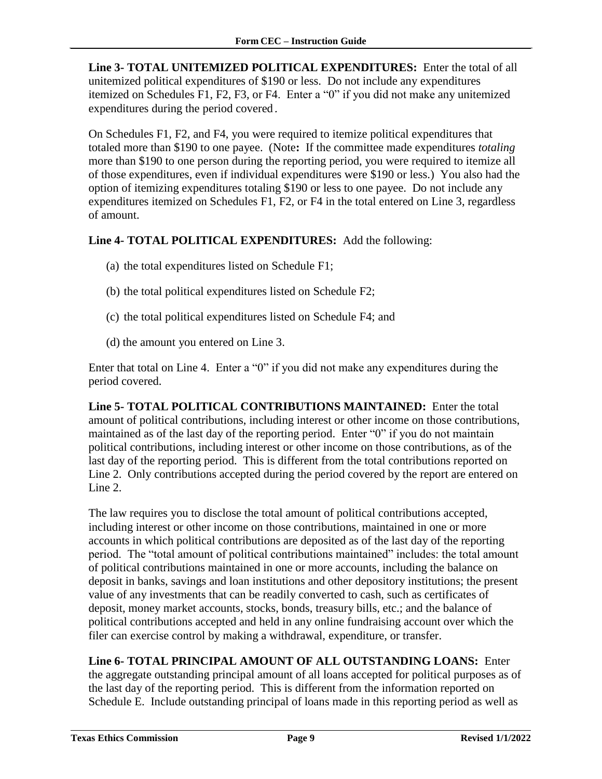**Line 3- TOTAL UNITEMIZED POLITICAL EXPENDITURES:** Enter the total of all unitemized political expenditures of \$190 or less. Do not include any expenditures itemized on Schedules F1, F2, F3, or F4. Enter a "0" if you did not make any unitemized expenditures during the period covered*.*

On Schedules F1, F2, and F4, you were required to itemize political expenditures that totaled more than \$190 to one payee. (Note**:** If the committee made expenditures *totaling* more than \$190 to one person during the reporting period, you were required to itemize all of those expenditures, even if individual expenditures were \$190 or less.) You also had the option of itemizing expenditures totaling \$190 or less to one payee. Do not include any expenditures itemized on Schedules F1, F2, or F4 in the total entered on Line 3, regardless of amount.

#### **Line 4- TOTAL POLITICAL EXPENDITURES:** Add the following:

- (a) the total expenditures listed on Schedule F1;
- (b) the total political expenditures listed on Schedule F2;
- (c) the total political expenditures listed on Schedule F4; and
- (d) the amount you entered on Line 3.

Enter that total on Line 4. Enter a "0" if you did not make any expenditures during the period covered.

**Line 5- TOTAL POLITICAL CONTRIBUTIONS MAINTAINED:** Enter the total amount of political contributions, including interest or other income on those contributions, maintained as of the last day of the reporting period. Enter "0" if you do not maintain political contributions, including interest or other income on those contributions, as of the last day of the reporting period. This is different from the total contributions reported on Line 2. Only contributions accepted during the period covered by the report are entered on Line 2.

The law requires you to disclose the total amount of political contributions accepted, including interest or other income on those contributions, maintained in one or more accounts in which political contributions are deposited as of the last day of the reporting period. The "total amount of political contributions maintained" includes: the total amount of political contributions maintained in one or more accounts, including the balance on deposit in banks, savings and loan institutions and other depository institutions; the present value of any investments that can be readily converted to cash, such as certificates of deposit, money market accounts, stocks, bonds, treasury bills, etc.; and the balance of political contributions accepted and held in any online fundraising account over which the filer can exercise control by making a withdrawal, expenditure, or transfer.

**Line 6- TOTAL PRINCIPAL AMOUNT OF ALL OUTSTANDING LOANS:** Enter the aggregate outstanding principal amount of all loans accepted for political purposes as of the last day of the reporting period. This is different from the information reported on Schedule E. Include outstanding principal of loans made in this reporting period as well as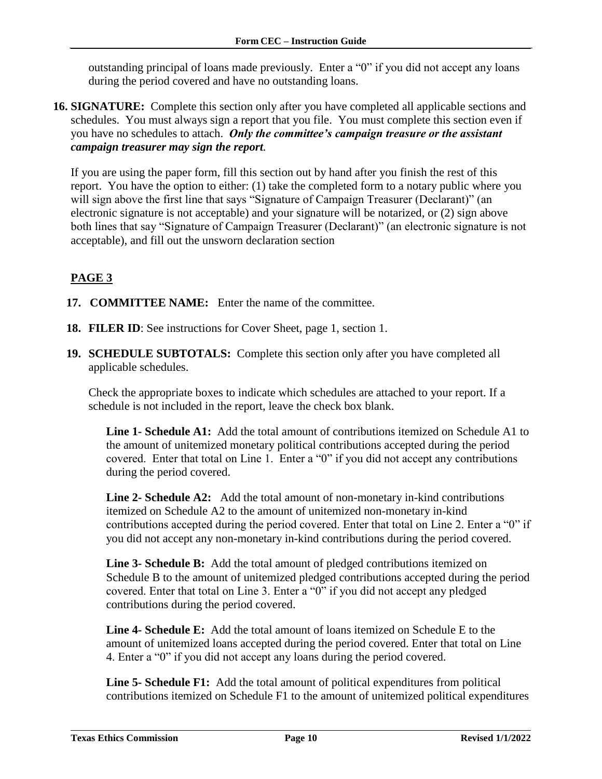outstanding principal of loans made previously. Enter a "0" if you did not accept any loans during the period covered and have no outstanding loans.

**16. SIGNATURE:** Complete this section only after you have completed all applicable sections and schedules. You must always sign a report that you file. You must complete this section even if you have no schedules to attach. *Only the committee's campaign treasure or the assistant campaign treasurer may sign the report.*

If you are using the paper form, fill this section out by hand after you finish the rest of this report. You have the option to either: (1) take the completed form to a notary public where you will sign above the first line that says "Signature of Campaign Treasurer (Declarant)" (an electronic signature is not acceptable) and your signature will be notarized, or (2) sign above both lines that say "Signature of Campaign Treasurer (Declarant)" (an electronic signature is not acceptable), and fill out the unsworn declaration section

### <span id="page-11-0"></span>**PAGE 3**

- **17. COMMITTEE NAME:** Enter the name of the committee.
- **18. FILER ID**: See instructions for Cover Sheet, page 1, section 1.
- **19. SCHEDULE SUBTOTALS:** Complete this section only after you have completed all applicable schedules.

Check the appropriate boxes to indicate which schedules are attached to your report. If a schedule is not included in the report, leave the check box blank.

**Line 1- Schedule A1:** Add the total amount of contributions itemized on Schedule A1 to the amount of unitemized monetary political contributions accepted during the period covered. Enter that total on Line 1. Enter a "0" if you did not accept any contributions during the period covered.

**Line 2- Schedule A2:** Add the total amount of non-monetary in-kind contributions itemized on Schedule A2 to the amount of unitemized non-monetary in-kind contributions accepted during the period covered. Enter that total on Line 2. Enter a "0" if you did not accept any non-monetary in-kind contributions during the period covered.

**Line 3- Schedule B:** Add the total amount of pledged contributions itemized on Schedule B to the amount of unitemized pledged contributions accepted during the period covered. Enter that total on Line 3. Enter a "0" if you did not accept any pledged contributions during the period covered.

**Line 4- Schedule E:** Add the total amount of loans itemized on Schedule E to the amount of unitemized loans accepted during the period covered. Enter that total on Line 4. Enter a "0" if you did not accept any loans during the period covered.

**Line 5- Schedule F1:** Add the total amount of political expenditures from political contributions itemized on Schedule F1 to the amount of unitemized political expenditures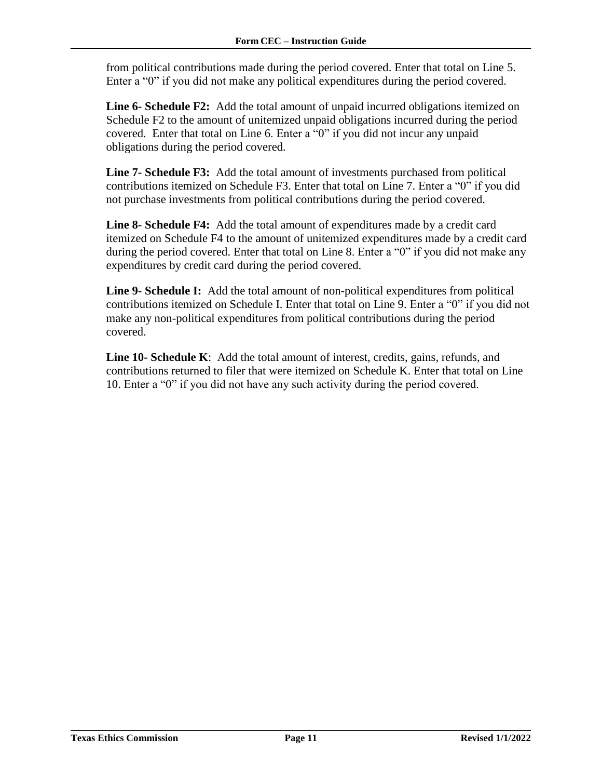from political contributions made during the period covered. Enter that total on Line 5. Enter a "0" if you did not make any political expenditures during the period covered.

**Line 6- Schedule F2:** Add the total amount of unpaid incurred obligations itemized on Schedule F2 to the amount of unitemized unpaid obligations incurred during the period covered*.* Enter that total on Line 6. Enter a "0" if you did not incur any unpaid obligations during the period covered.

**Line 7- Schedule F3:** Add the total amount of investments purchased from political contributions itemized on Schedule F3. Enter that total on Line 7. Enter a "0" if you did not purchase investments from political contributions during the period covered.

**Line 8- Schedule F4:** Add the total amount of expenditures made by a credit card itemized on Schedule F4 to the amount of unitemized expenditures made by a credit card during the period covered. Enter that total on Line 8. Enter a "0" if you did not make any expenditures by credit card during the period covered.

**Line 9- Schedule I:** Add the total amount of non-political expenditures from political contributions itemized on Schedule I. Enter that total on Line 9. Enter a "0" if you did not make any non-political expenditures from political contributions during the period covered.

**Line 10- Schedule K**: Add the total amount of interest, credits, gains, refunds, and contributions returned to filer that were itemized on Schedule K. Enter that total on Line 10. Enter a "0" if you did not have any such activity during the period covered.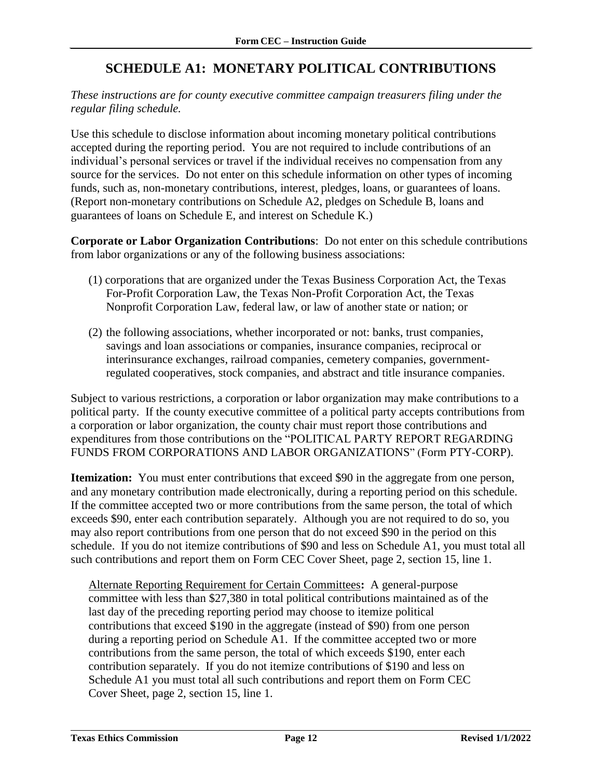### **SCHEDULE A1: MONETARY POLITICAL CONTRIBUTIONS**

#### <span id="page-13-0"></span>*These instructions are for county executive committee campaign treasurers filing under the regular filing schedule.*

Use this schedule to disclose information about incoming monetary political contributions accepted during the reporting period. You are not required to include contributions of an individual's personal services or travel if the individual receives no compensation from any source for the services. Do not enter on this schedule information on other types of incoming funds, such as, non-monetary contributions, interest, pledges, loans, or guarantees of loans. (Report non-monetary contributions on Schedule A2, pledges on Schedule B, loans and guarantees of loans on Schedule E, and interest on Schedule K.)

**Corporate or Labor Organization Contributions**: Do not enter on this schedule contributions from labor organizations or any of the following business associations:

- (1) corporations that are organized under the Texas Business Corporation Act, the Texas For-Profit Corporation Law, the Texas Non-Profit Corporation Act, the Texas Nonprofit Corporation Law, federal law, or law of another state or nation; or
- (2) the following associations, whether incorporated or not: banks, trust companies, savings and loan associations or companies, insurance companies, reciprocal or interinsurance exchanges, railroad companies, cemetery companies, governmentregulated cooperatives, stock companies, and abstract and title insurance companies.

Subject to various restrictions, a corporation or labor organization may make contributions to a political party. If the county executive committee of a political party accepts contributions from a corporation or labor organization, the county chair must report those contributions and expenditures from those contributions on the "POLITICAL PARTY REPORT REGARDING FUNDS FROM CORPORATIONS AND LABOR ORGANIZATIONS" (Form PTY-CORP).

**Itemization:** You must enter contributions that exceed \$90 in the aggregate from one person, and any monetary contribution made electronically, during a reporting period on this schedule. If the committee accepted two or more contributions from the same person, the total of which exceeds \$90, enter each contribution separately. Although you are not required to do so, you may also report contributions from one person that do not exceed \$90 in the period on this schedule. If you do not itemize contributions of \$90 and less on Schedule A1, you must total all such contributions and report them on Form CEC Cover Sheet, page 2, section 15, line 1.

Alternate Reporting Requirement for Certain Committees**:** A general-purpose committee with less than \$27,380 in total political contributions maintained as of the last day of the preceding reporting period may choose to itemize political contributions that exceed \$190 in the aggregate (instead of \$90) from one person during a reporting period on Schedule A1. If the committee accepted two or more contributions from the same person, the total of which exceeds \$190, enter each contribution separately. If you do not itemize contributions of \$190 and less on Schedule A1 you must total all such contributions and report them on Form CEC Cover Sheet, page 2, section 15, line 1.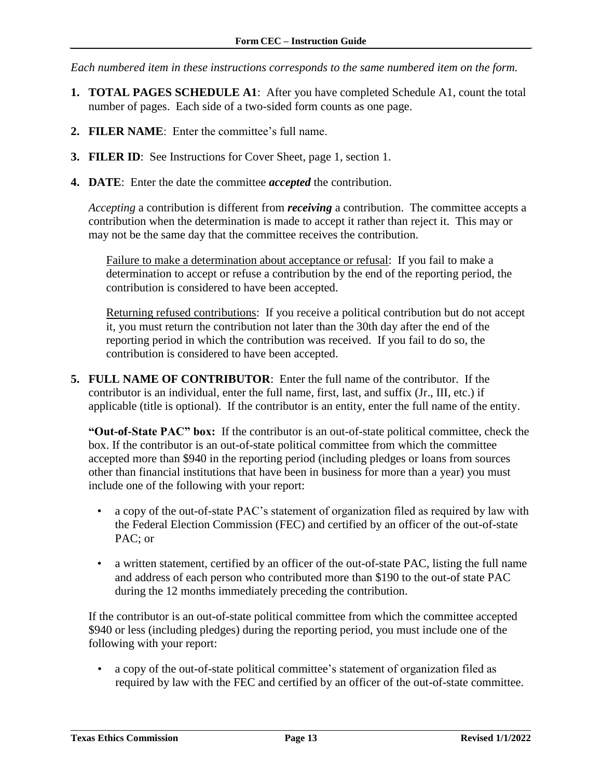*Each numbered item in these instructions corresponds to the same numbered item on the form.*

- **1. TOTAL PAGES SCHEDULE A1**: After you have completed Schedule A1, count the total number of pages. Each side of a two-sided form counts as one page.
- **2. FILER NAME**: Enter the committee's full name.
- **3. FILER ID**: See Instructions for Cover Sheet, page 1, section 1.
- **4. DATE**: Enter the date the committee *accepted* the contribution.

*Accepting* a contribution is different from *receiving* a contribution. The committee accepts a contribution when the determination is made to accept it rather than reject it. This may or may not be the same day that the committee receives the contribution.

Failure to make a determination about acceptance or refusal: If you fail to make a determination to accept or refuse a contribution by the end of the reporting period, the contribution is considered to have been accepted.

Returning refused contributions: If you receive a political contribution but do not accept it, you must return the contribution not later than the 30th day after the end of the reporting period in which the contribution was received. If you fail to do so, the contribution is considered to have been accepted.

**5. FULL NAME OF CONTRIBUTOR**: Enter the full name of the contributor. If the contributor is an individual, enter the full name, first, last, and suffix (Jr., III, etc.) if applicable (title is optional). If the contributor is an entity, enter the full name of the entity.

**"Out-of-State PAC" box:** If the contributor is an out-of-state political committee, check the box. If the contributor is an out-of-state political committee from which the committee accepted more than \$940 in the reporting period (including pledges or loans from sources other than financial institutions that have been in business for more than a year) you must include one of the following with your report:

- a copy of the out-of-state PAC's statement of organization filed as required by law with the Federal Election Commission (FEC) and certified by an officer of the out-of-state PAC; or
- a written statement, certified by an officer of the out-of-state PAC, listing the full name and address of each person who contributed more than \$190 to the out-of state PAC during the 12 months immediately preceding the contribution.

If the contributor is an out-of-state political committee from which the committee accepted \$940 or less (including pledges) during the reporting period, you must include one of the following with your report:

• a copy of the out-of-state political committee's statement of organization filed as required by law with the FEC and certified by an officer of the out-of-state committee.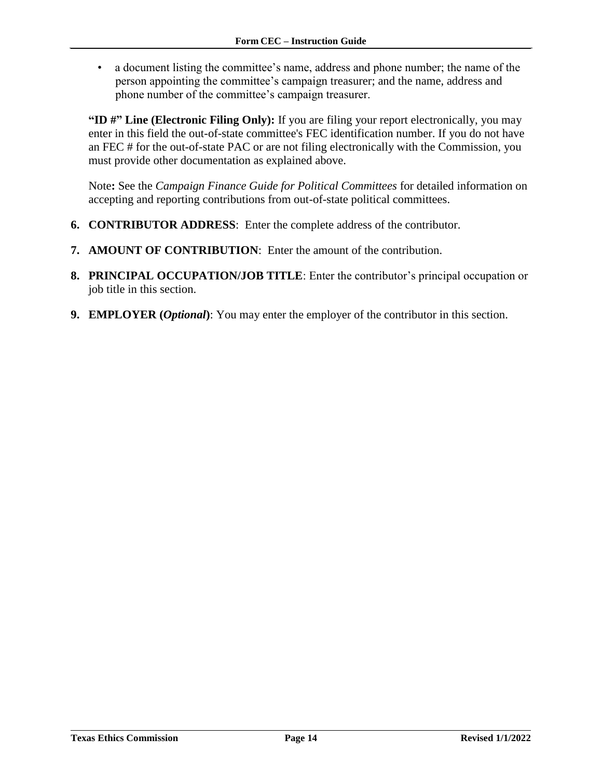• a document listing the committee's name, address and phone number; the name of the person appointing the committee's campaign treasurer; and the name, address and phone number of the committee's campaign treasurer.

**"ID #" Line (Electronic Filing Only):** If you are filing your report electronically, you may enter in this field the out-of-state committee's FEC identification number. If you do not have an FEC # for the out-of-state PAC or are not filing electronically with the Commission, you must provide other documentation as explained above.

Note**:** See the *Campaign Finance Guide for Political Committees* for detailed information on accepting and reporting contributions from out-of-state political committees.

- **6. CONTRIBUTOR ADDRESS**: Enter the complete address of the contributor.
- **7. AMOUNT OF CONTRIBUTION**: Enter the amount of the contribution.
- **8. PRINCIPAL OCCUPATION/JOB TITLE**: Enter the contributor's principal occupation or job title in this section.
- **9. EMPLOYER (***Optional***)**: You may enter the employer of the contributor in this section.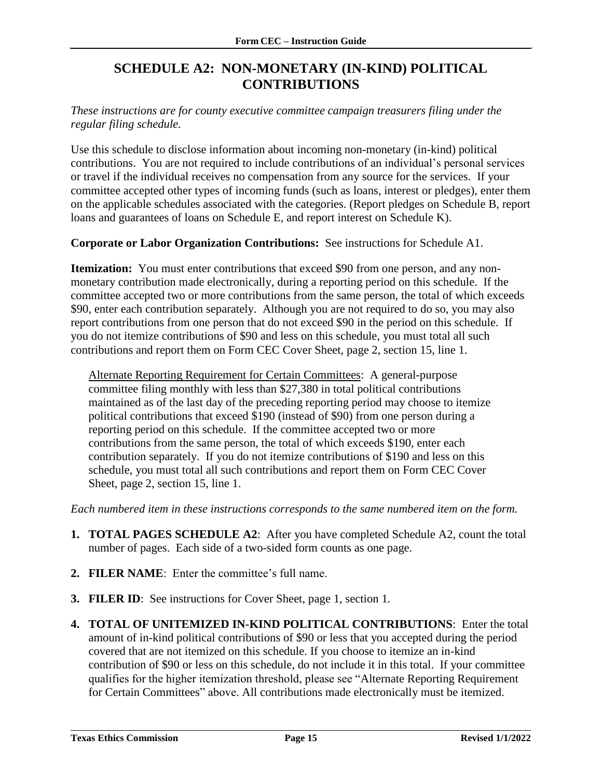### **SCHEDULE A2: NON-MONETARY (IN-KIND) POLITICAL CONTRIBUTIONS**

<span id="page-16-0"></span>*These instructions are for county executive committee campaign treasurers filing under the regular filing schedule.*

Use this schedule to disclose information about incoming non-monetary (in-kind) political contributions. You are not required to include contributions of an individual's personal services or travel if the individual receives no compensation from any source for the services. If your committee accepted other types of incoming funds (such as loans, interest or pledges), enter them on the applicable schedules associated with the categories. (Report pledges on Schedule B, report loans and guarantees of loans on Schedule E, and report interest on Schedule K).

**Corporate or Labor Organization Contributions:** See instructions for Schedule A1.

**Itemization:** You must enter contributions that exceed \$90 from one person, and any nonmonetary contribution made electronically, during a reporting period on this schedule. If the committee accepted two or more contributions from the same person, the total of which exceeds \$90, enter each contribution separately. Although you are not required to do so, you may also report contributions from one person that do not exceed \$90 in the period on this schedule. If you do not itemize contributions of \$90 and less on this schedule, you must total all such contributions and report them on Form CEC Cover Sheet, page 2, section 15, line 1.

Alternate Reporting Requirement for Certain Committees: A general-purpose committee filing monthly with less than \$27,380 in total political contributions maintained as of the last day of the preceding reporting period may choose to itemize political contributions that exceed \$190 (instead of \$90) from one person during a reporting period on this schedule. If the committee accepted two or more contributions from the same person, the total of which exceeds \$190, enter each contribution separately. If you do not itemize contributions of \$190 and less on this schedule, you must total all such contributions and report them on Form CEC Cover Sheet, page 2, section 15, line 1.

*Each numbered item in these instructions corresponds to the same numbered item on the form.*

- **1. TOTAL PAGES SCHEDULE A2**: After you have completed Schedule A2, count the total number of pages. Each side of a two-sided form counts as one page.
- **2. FILER NAME**: Enter the committee's full name.
- **3. FILER ID**: See instructions for Cover Sheet, page 1, section 1*.*
- **4. TOTAL OF UNITEMIZED IN-KIND POLITICAL CONTRIBUTIONS**: Enter the total amount of in-kind political contributions of \$90 or less that you accepted during the period covered that are not itemized on this schedule. If you choose to itemize an in-kind contribution of \$90 or less on this schedule, do not include it in this total. If your committee qualifies for the higher itemization threshold, please see "Alternate Reporting Requirement for Certain Committees" above. All contributions made electronically must be itemized.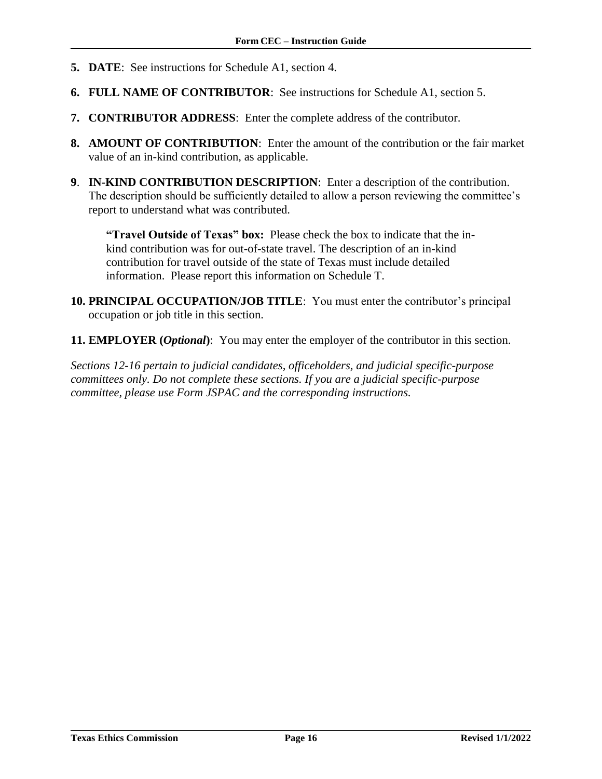- **5. DATE**: See instructions for Schedule A1, section 4.
- **6. FULL NAME OF CONTRIBUTOR**: See instructions for Schedule A1, section 5.
- **7. CONTRIBUTOR ADDRESS**: Enter the complete address of the contributor.
- **8. AMOUNT OF CONTRIBUTION**: Enter the amount of the contribution or the fair market value of an in-kind contribution, as applicable.
- **9**. **IN-KIND CONTRIBUTION DESCRIPTION**: Enter a description of the contribution. The description should be sufficiently detailed to allow a person reviewing the committee's report to understand what was contributed.

**"Travel Outside of Texas" box:** Please check the box to indicate that the inkind contribution was for out-of-state travel. The description of an in-kind contribution for travel outside of the state of Texas must include detailed information. Please report this information on Schedule T.

- **10. PRINCIPAL OCCUPATION/JOB TITLE**: You must enter the contributor's principal occupation or job title in this section.
- **11. EMPLOYER (***Optional***)**: You may enter the employer of the contributor in this section.

*Sections 12-16 pertain to judicial candidates, officeholders, and judicial specific-purpose committees only. Do not complete these sections. If you are a judicial specific-purpose committee, please use Form JSPAC and the corresponding instructions.*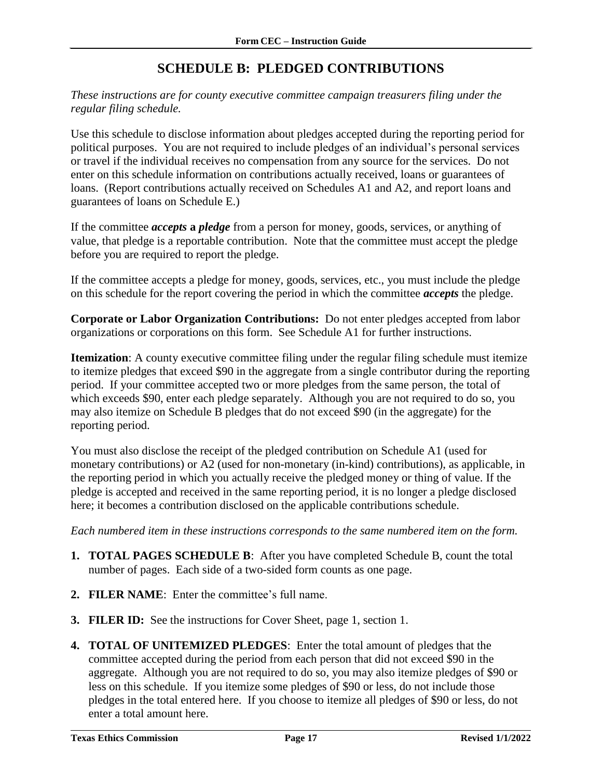### **SCHEDULE B: PLEDGED CONTRIBUTIONS**

<span id="page-18-0"></span>*These instructions are for county executive committee campaign treasurers filing under the regular filing schedule.*

Use this schedule to disclose information about pledges accepted during the reporting period for political purposes. You are not required to include pledges of an individual's personal services or travel if the individual receives no compensation from any source for the services. Do not enter on this schedule information on contributions actually received, loans or guarantees of loans. (Report contributions actually received on Schedules A1 and A2, and report loans and guarantees of loans on Schedule E.)

If the committee *accepts* **a** *pledge* from a person for money, goods, services, or anything of value, that pledge is a reportable contribution. Note that the committee must accept the pledge before you are required to report the pledge.

If the committee accepts a pledge for money, goods, services, etc., you must include the pledge on this schedule for the report covering the period in which the committee *accepts* the pledge.

**Corporate or Labor Organization Contributions:** Do not enter pledges accepted from labor organizations or corporations on this form. See Schedule A1 for further instructions.

**Itemization**: A county executive committee filing under the regular filing schedule must itemize to itemize pledges that exceed \$90 in the aggregate from a single contributor during the reporting period. If your committee accepted two or more pledges from the same person, the total of which exceeds \$90, enter each pledge separately. Although you are not required to do so, you may also itemize on Schedule B pledges that do not exceed \$90 (in the aggregate) for the reporting period.

You must also disclose the receipt of the pledged contribution on Schedule A1 (used for monetary contributions) or A2 (used for non-monetary (in-kind) contributions), as applicable, in the reporting period in which you actually receive the pledged money or thing of value. If the pledge is accepted and received in the same reporting period, it is no longer a pledge disclosed here; it becomes a contribution disclosed on the applicable contributions schedule.

*Each numbered item in these instructions corresponds to the same numbered item on the form.*

- **1. TOTAL PAGES SCHEDULE B**: After you have completed Schedule B, count the total number of pages. Each side of a two-sided form counts as one page.
- **2. FILER NAME**: Enter the committee's full name.
- **3. FILER ID:** See the instructions for Cover Sheet, page 1, section 1.
- **4. TOTAL OF UNITEMIZED PLEDGES**: Enter the total amount of pledges that the committee accepted during the period from each person that did not exceed \$90 in the aggregate. Although you are not required to do so, you may also itemize pledges of \$90 or less on this schedule. If you itemize some pledges of \$90 or less, do not include those pledges in the total entered here. If you choose to itemize all pledges of \$90 or less, do not enter a total amount here.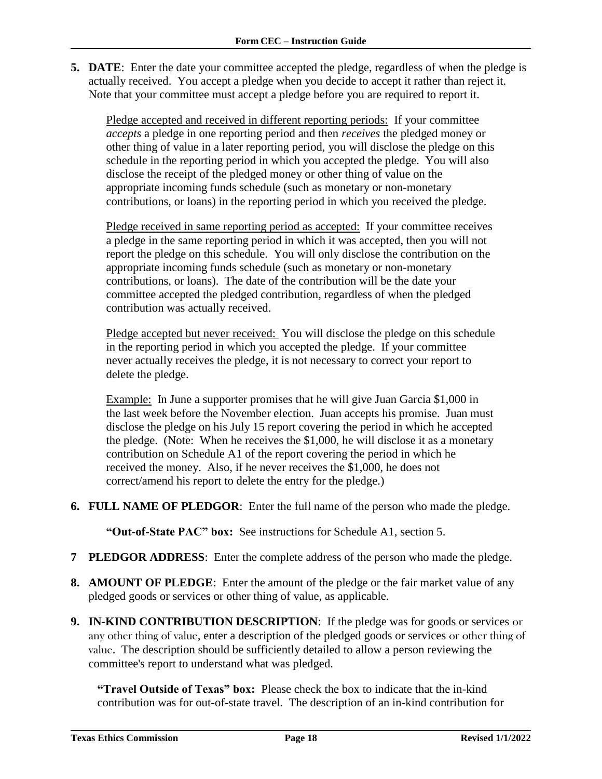**5. DATE**: Enter the date your committee accepted the pledge, regardless of when the pledge is actually received. You accept a pledge when you decide to accept it rather than reject it. Note that your committee must accept a pledge before you are required to report it.

Pledge accepted and received in different reporting periods: If your committee *accepts* a pledge in one reporting period and then *receives* the pledged money or other thing of value in a later reporting period, you will disclose the pledge on this schedule in the reporting period in which you accepted the pledge. You will also disclose the receipt of the pledged money or other thing of value on the appropriate incoming funds schedule (such as monetary or non-monetary contributions, or loans) in the reporting period in which you received the pledge.

Pledge received in same reporting period as accepted: If your committee receives a pledge in the same reporting period in which it was accepted, then you will not report the pledge on this schedule. You will only disclose the contribution on the appropriate incoming funds schedule (such as monetary or non-monetary contributions, or loans). The date of the contribution will be the date your committee accepted the pledged contribution, regardless of when the pledged contribution was actually received.

Pledge accepted but never received: You will disclose the pledge on this schedule in the reporting period in which you accepted the pledge. If your committee never actually receives the pledge, it is not necessary to correct your report to delete the pledge.

Example: In June a supporter promises that he will give Juan Garcia \$1,000 in the last week before the November election. Juan accepts his promise. Juan must disclose the pledge on his July 15 report covering the period in which he accepted the pledge. (Note: When he receives the \$1,000, he will disclose it as a monetary contribution on Schedule A1 of the report covering the period in which he received the money. Also, if he never receives the \$1,000, he does not correct/amend his report to delete the entry for the pledge.)

**6. FULL NAME OF PLEDGOR**: Enter the full name of the person who made the pledge.

**"Out-of-State PAC" box:** See instructions for Schedule A1, section 5.

- **7 PLEDGOR ADDRESS**: Enter the complete address of the person who made the pledge.
- **8. AMOUNT OF PLEDGE**: Enter the amount of the pledge or the fair market value of any pledged goods or services or other thing of value, as applicable.
- **9. IN-KIND CONTRIBUTION DESCRIPTION**: If the pledge was for goods or services or any other thing of value, enter a description of the pledged goods or services or other thing of value. The description should be sufficiently detailed to allow a person reviewing the committee's report to understand what was pledged.

**"Travel Outside of Texas" box:** Please check the box to indicate that the in-kind contribution was for out-of-state travel.The description of an in-kind contribution for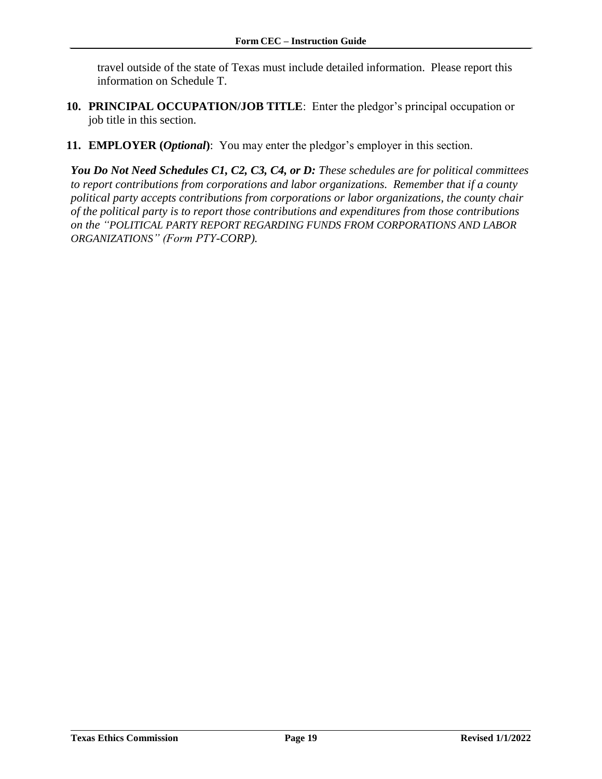travel outside of the state of Texas must include detailed information. Please report this information on Schedule T.

- **10. PRINCIPAL OCCUPATION/JOB TITLE**: Enter the pledgor's principal occupation or job title in this section.
- **11. EMPLOYER (***Optional***)**: You may enter the pledgor's employer in this section.

*You Do Not Need Schedules C1, C2, C3, C4, or D: These schedules are for political committees to report contributions from corporations and labor organizations. Remember that if a county political party accepts contributions from corporations or labor organizations, the county chair of the political party is to report those contributions and expenditures from those contributions on the "POLITICAL PARTY REPORT REGARDING FUNDS FROM CORPORATIONS AND LABOR ORGANIZATIONS" (Form PTY-CORP).*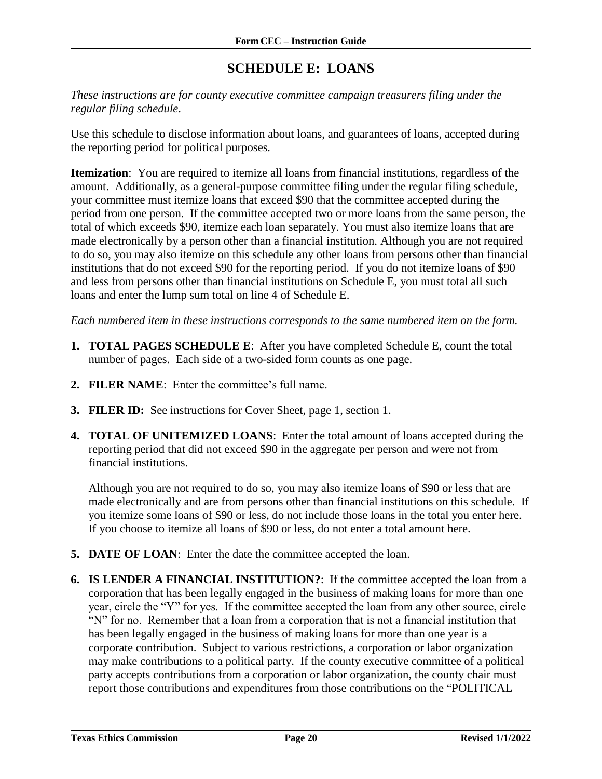### **SCHEDULE E: LOANS**

<span id="page-21-0"></span>*These instructions are for county executive committee campaign treasurers filing under the regular filing schedule*.

Use this schedule to disclose information about loans, and guarantees of loans, accepted during the reporting period for political purposes*.*

**Itemization**: You are required to itemize all loans from financial institutions, regardless of the amount. Additionally, as a general-purpose committee filing under the regular filing schedule, your committee must itemize loans that exceed \$90 that the committee accepted during the period from one person. If the committee accepted two or more loans from the same person, the total of which exceeds \$90, itemize each loan separately. You must also itemize loans that are made electronically by a person other than a financial institution. Although you are not required to do so, you may also itemize on this schedule any other loans from persons other than financial institutions that do not exceed \$90 for the reporting period. If you do not itemize loans of \$90 and less from persons other than financial institutions on Schedule E, you must total all such loans and enter the lump sum total on line 4 of Schedule E.

*Each numbered item in these instructions corresponds to the same numbered item on the form.*

- **1. TOTAL PAGES SCHEDULE E**: After you have completed Schedule E, count the total number of pages. Each side of a two-sided form counts as one page.
- **2. FILER NAME**: Enter the committee's full name.
- **3. FILER ID:** See instructions for Cover Sheet, page 1, section 1.
- **4. TOTAL OF UNITEMIZED LOANS**: Enter the total amount of loans accepted during the reporting period that did not exceed \$90 in the aggregate per person and were not from financial institutions.

Although you are not required to do so, you may also itemize loans of \$90 or less that are made electronically and are from persons other than financial institutions on this schedule. If you itemize some loans of \$90 or less, do not include those loans in the total you enter here. If you choose to itemize all loans of \$90 or less, do not enter a total amount here.

- **5. DATE OF LOAN**: Enter the date the committee accepted the loan.
- **6. IS LENDER A FINANCIAL INSTITUTION?**: If the committee accepted the loan from a corporation that has been legally engaged in the business of making loans for more than one year, circle the "Y" for yes. If the committee accepted the loan from any other source, circle "N" for no. Remember that a loan from a corporation that is not a financial institution that has been legally engaged in the business of making loans for more than one year is a corporate contribution. Subject to various restrictions, a corporation or labor organization may make contributions to a political party. If the county executive committee of a political party accepts contributions from a corporation or labor organization, the county chair must report those contributions and expenditures from those contributions on the "POLITICAL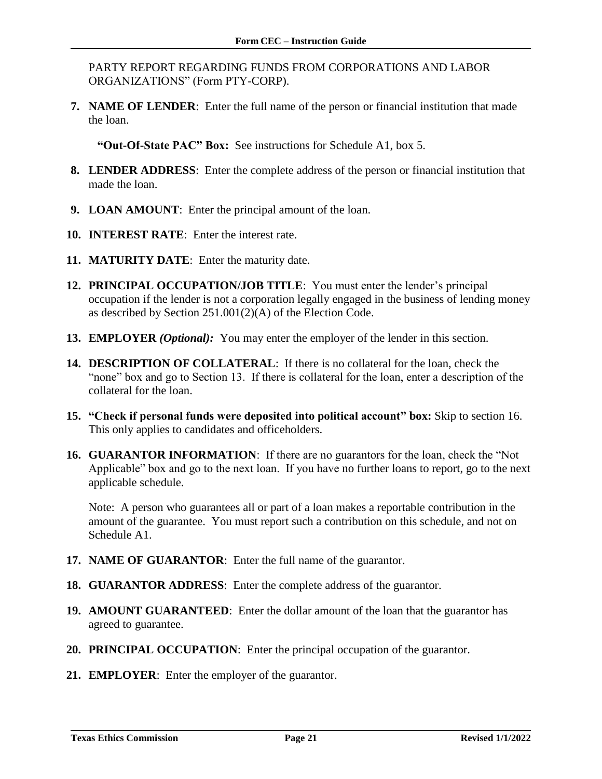PARTY REPORT REGARDING FUNDS FROM CORPORATIONS AND LABOR ORGANIZATIONS" (Form PTY-CORP).

**7. NAME OF LENDER**: Enter the full name of the person or financial institution that made the loan.

**"Out-Of-State PAC" Box:** See instructions for Schedule A1, box 5.

- **8. LENDER ADDRESS**: Enter the complete address of the person or financial institution that made the loan.
- **9. LOAN AMOUNT**: Enter the principal amount of the loan.
- **10. INTEREST RATE**: Enter the interest rate.
- **11. MATURITY DATE**: Enter the maturity date.
- **12. PRINCIPAL OCCUPATION/JOB TITLE**: You must enter the lender's principal occupation if the lender is not a corporation legally engaged in the business of lending money as described by Section 251.001(2)(A) of the Election Code.
- **13. EMPLOYER** *(Optional):* You may enter the employer of the lender in this section.
- **14. DESCRIPTION OF COLLATERAL**: If there is no collateral for the loan, check the "none" box and go to Section 13. If there is collateral for the loan, enter a description of the collateral for the loan.
- **15. "Check if personal funds were deposited into political account" box:** Skip to section 16. This only applies to candidates and officeholders.
- **16. GUARANTOR INFORMATION**: If there are no guarantors for the loan, check the "Not Applicable" box and go to the next loan. If you have no further loans to report, go to the next applicable schedule.

Note: A person who guarantees all or part of a loan makes a reportable contribution in the amount of the guarantee. You must report such a contribution on this schedule, and not on Schedule A1.

- **17. NAME OF GUARANTOR**: Enter the full name of the guarantor.
- **18. GUARANTOR ADDRESS**: Enter the complete address of the guarantor.
- **19. AMOUNT GUARANTEED**: Enter the dollar amount of the loan that the guarantor has agreed to guarantee.
- **20. PRINCIPAL OCCUPATION**: Enter the principal occupation of the guarantor.
- **21. EMPLOYER**: Enter the employer of the guarantor.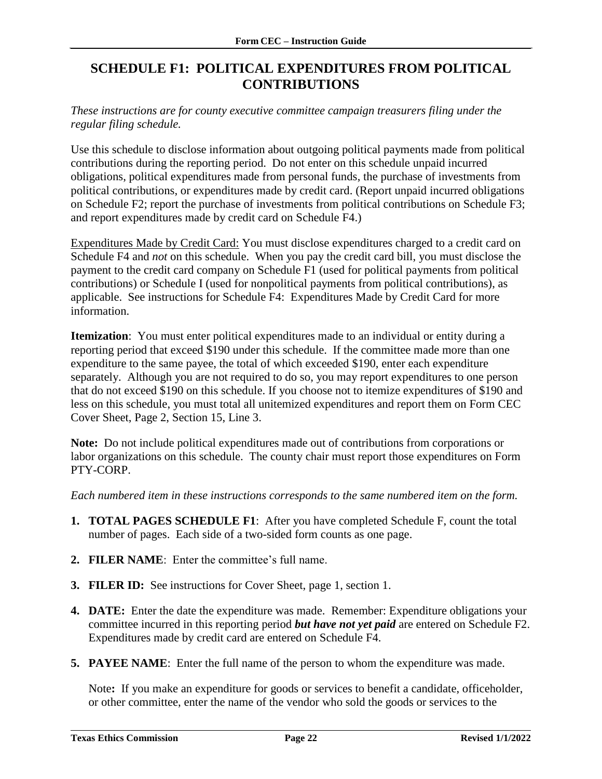### <span id="page-23-0"></span>**SCHEDULE F1: POLITICAL EXPENDITURES FROM POLITICAL CONTRIBUTIONS**

*These instructions are for county executive committee campaign treasurers filing under the regular filing schedule.*

Use this schedule to disclose information about outgoing political payments made from political contributions during the reporting period. Do not enter on this schedule unpaid incurred obligations, political expenditures made from personal funds, the purchase of investments from political contributions, or expenditures made by credit card. (Report unpaid incurred obligations on Schedule F2; report the purchase of investments from political contributions on Schedule F3; and report expenditures made by credit card on Schedule F4.)

Expenditures Made by Credit Card: You must disclose expenditures charged to a credit card on Schedule F4 and *not* on this schedule. When you pay the credit card bill, you must disclose the payment to the credit card company on Schedule F1 (used for political payments from political contributions) or Schedule I (used for nonpolitical payments from political contributions), as applicable. See instructions for Schedule F4: Expenditures Made by Credit Card for more information.

**Itemization**: You must enter political expenditures made to an individual or entity during a reporting period that exceed \$190 under this schedule. If the committee made more than one expenditure to the same payee, the total of which exceeded \$190, enter each expenditure separately. Although you are not required to do so, you may report expenditures to one person that do not exceed \$190 on this schedule. If you choose not to itemize expenditures of \$190 and less on this schedule, you must total all unitemized expenditures and report them on Form CEC Cover Sheet, Page 2, Section 15, Line 3.

**Note:** Do not include political expenditures made out of contributions from corporations or labor organizations on this schedule. The county chair must report those expenditures on Form PTY-CORP.

*Each numbered item in these instructions corresponds to the same numbered item on the form.*

- **1. TOTAL PAGES SCHEDULE F1**: After you have completed Schedule F, count the total number of pages. Each side of a two-sided form counts as one page.
- **2. FILER NAME**: Enter the committee's full name.
- **3. FILER ID:** See instructions for Cover Sheet, page 1, section 1.
- **4. DATE:** Enter the date the expenditure was made. Remember: Expenditure obligations your committee incurred in this reporting period *but have not yet paid* are entered on Schedule F2. Expenditures made by credit card are entered on Schedule F4.
- **5. PAYEE NAME**: Enter the full name of the person to whom the expenditure was made.

Note**:** If you make an expenditure for goods or services to benefit a candidate, officeholder, or other committee, enter the name of the vendor who sold the goods or services to the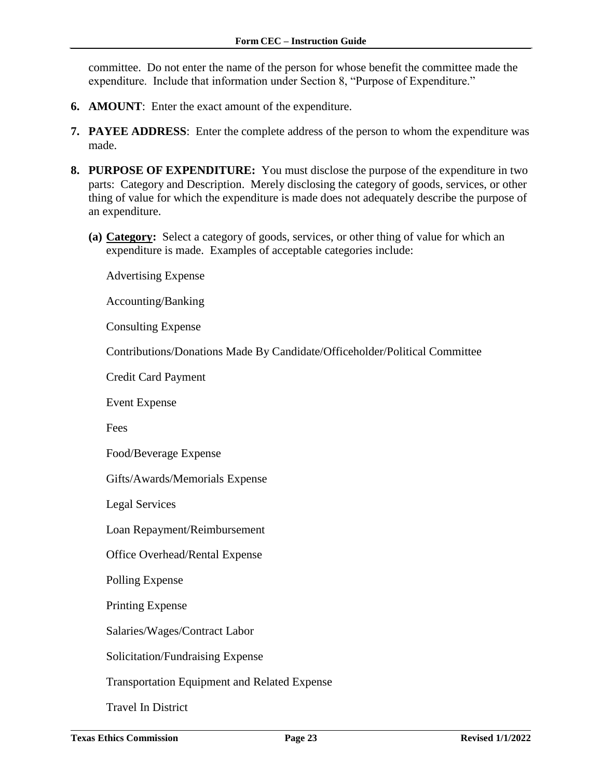committee. Do not enter the name of the person for whose benefit the committee made the expenditure. Include that information under Section 8, "Purpose of Expenditure."

- **6. AMOUNT**: Enter the exact amount of the expenditure.
- **7. PAYEE ADDRESS**: Enter the complete address of the person to whom the expenditure was made.
- **8. PURPOSE OF EXPENDITURE:** You must disclose the purpose of the expenditure in two parts: Category and Description. Merely disclosing the category of goods, services, or other thing of value for which the expenditure is made does not adequately describe the purpose of an expenditure.
	- **(a) Category:** Select a category of goods, services, or other thing of value for which an expenditure is made. Examples of acceptable categories include:

Advertising Expense

Accounting/Banking

Consulting Expense

Contributions/Donations Made By Candidate/Officeholder/Political Committee

Credit Card Payment

Event Expense

Fees

Food/Beverage Expense

Gifts/Awards/Memorials Expense

Legal Services

Loan Repayment/Reimbursement

Office Overhead/Rental Expense

Polling Expense

Printing Expense

Salaries/Wages/Contract Labor

Solicitation/Fundraising Expense

Transportation Equipment and Related Expense

Travel In District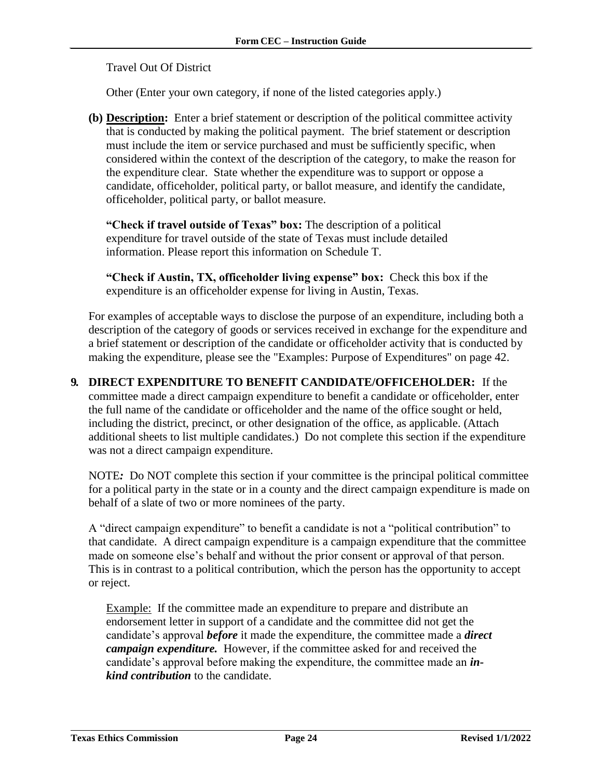Travel Out Of District

Other (Enter your own category, if none of the listed categories apply.)

**(b) Description:** Enter a brief statement or description of the political committee activity that is conducted by making the political payment. The brief statement or description must include the item or service purchased and must be sufficiently specific, when considered within the context of the description of the category, to make the reason for the expenditure clear. State whether the expenditure was to support or oppose a candidate, officeholder, political party, or ballot measure, and identify the candidate, officeholder, political party, or ballot measure.

**"Check if travel outside of Texas" box:** The description of a political expenditure for travel outside of the state of Texas must include detailed information. Please report this information on Schedule T.

**"Check if Austin, TX, officeholder living expense" box:** Check this box if the expenditure is an officeholder expense for living in Austin, Texas.

For examples of acceptable ways to disclose the purpose of an expenditure, including both a description of the category of goods or services received in exchange for the expenditure and a brief statement or description of the candidate or officeholder activity that is conducted by making the expenditure, please see the "Examples: Purpose of Expenditures" on page 42.

**9. DIRECT EXPENDITURE TO BENEFIT CANDIDATE/OFFICEHOLDER:** If the committee made a direct campaign expenditure to benefit a candidate or officeholder, enter the full name of the candidate or officeholder and the name of the office sought or held, including the district, precinct, or other designation of the office, as applicable. (Attach additional sheets to list multiple candidates.) Do not complete this section if the expenditure was not a direct campaign expenditure.

NOTE*:* Do NOT complete this section if your committee is the principal political committee for a political party in the state or in a county and the direct campaign expenditure is made on behalf of a slate of two or more nominees of the party.

A "direct campaign expenditure" to benefit a candidate is not a "political contribution" to that candidate. A direct campaign expenditure is a campaign expenditure that the committee made on someone else's behalf and without the prior consent or approval of that person. This is in contrast to a political contribution, which the person has the opportunity to accept or reject.

Example: If the committee made an expenditure to prepare and distribute an endorsement letter in support of a candidate and the committee did not get the candidate's approval *before* it made the expenditure, the committee made a *direct campaign expenditure.* However, if the committee asked for and received the candidate's approval before making the expenditure, the committee made an *inkind contribution* to the candidate.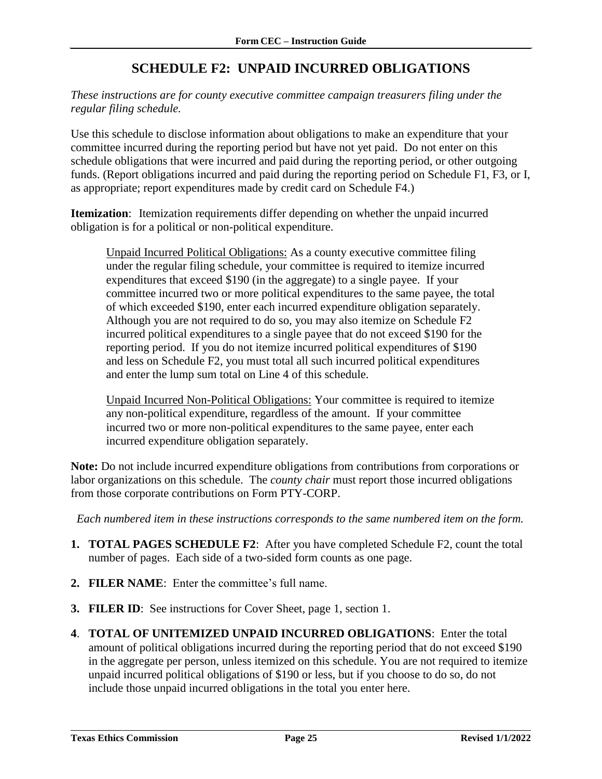### **SCHEDULE F2: UNPAID INCURRED OBLIGATIONS**

<span id="page-26-0"></span>*These instructions are for county executive committee campaign treasurers filing under the regular filing schedule.*

Use this schedule to disclose information about obligations to make an expenditure that your committee incurred during the reporting period but have not yet paid. Do not enter on this schedule obligations that were incurred and paid during the reporting period, or other outgoing funds. (Report obligations incurred and paid during the reporting period on Schedule F1, F3, or I, as appropriate; report expenditures made by credit card on Schedule F4.)

**Itemization**: Itemization requirements differ depending on whether the unpaid incurred obligation is for a political or non-political expenditure.

Unpaid Incurred Political Obligations: As a county executive committee filing under the regular filing schedule, your committee is required to itemize incurred expenditures that exceed \$190 (in the aggregate) to a single payee. If your committee incurred two or more political expenditures to the same payee, the total of which exceeded \$190, enter each incurred expenditure obligation separately. Although you are not required to do so, you may also itemize on Schedule F2 incurred political expenditures to a single payee that do not exceed \$190 for the reporting period. If you do not itemize incurred political expenditures of \$190 and less on Schedule F2, you must total all such incurred political expenditures and enter the lump sum total on Line 4 of this schedule.

Unpaid Incurred Non-Political Obligations: Your committee is required to itemize any non-political expenditure, regardless of the amount. If your committee incurred two or more non-political expenditures to the same payee, enter each incurred expenditure obligation separately.

**Note:** Do not include incurred expenditure obligations from contributions from corporations or labor organizations on this schedule. The *county chair* must report those incurred obligations from those corporate contributions on Form PTY-CORP.

*Each numbered item in these instructions corresponds to the same numbered item on the form.*

- **1. TOTAL PAGES SCHEDULE F2**: After you have completed Schedule F2, count the total number of pages. Each side of a two-sided form counts as one page.
- **2. FILER NAME**: Enter the committee's full name.
- **3. FILER ID**: See instructions for Cover Sheet, page 1, section 1.
- **4**. **TOTAL OF UNITEMIZED UNPAID INCURRED OBLIGATIONS**: Enter the total amount of political obligations incurred during the reporting period that do not exceed \$190 in the aggregate per person, unless itemized on this schedule. You are not required to itemize unpaid incurred political obligations of \$190 or less, but if you choose to do so, do not include those unpaid incurred obligations in the total you enter here.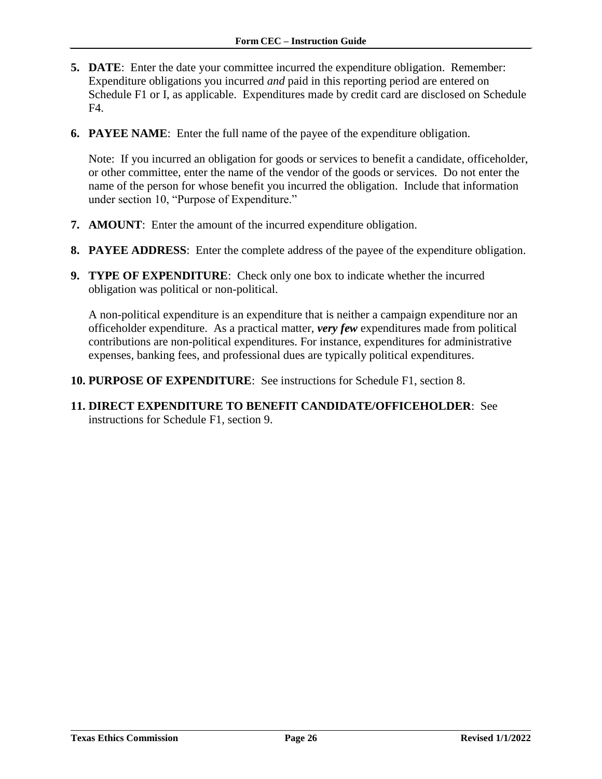- **5. DATE**: Enter the date your committee incurred the expenditure obligation. Remember: Expenditure obligations you incurred *and* paid in this reporting period are entered on Schedule F1 or I, as applicable. Expenditures made by credit card are disclosed on Schedule F4.
- **6. PAYEE NAME**: Enter the full name of the payee of the expenditure obligation.

Note: If you incurred an obligation for goods or services to benefit a candidate, officeholder, or other committee, enter the name of the vendor of the goods or services. Do not enter the name of the person for whose benefit you incurred the obligation. Include that information under section 10, "Purpose of Expenditure."

- **7. AMOUNT**: Enter the amount of the incurred expenditure obligation.
- **8. PAYEE ADDRESS**: Enter the complete address of the payee of the expenditure obligation.
- **9. TYPE OF EXPENDITURE**: Check only one box to indicate whether the incurred obligation was political or non-political.

A non-political expenditure is an expenditure that is neither a campaign expenditure nor an officeholder expenditure. As a practical matter, *very few* expenditures made from political contributions are non-political expenditures. For instance, expenditures for administrative expenses, banking fees, and professional dues are typically political expenditures.

- **10. PURPOSE OF EXPENDITURE**: See instructions for Schedule F1, section 8.
- **11. DIRECT EXPENDITURE TO BENEFIT CANDIDATE/OFFICEHOLDER**: See instructions for Schedule F1, section 9.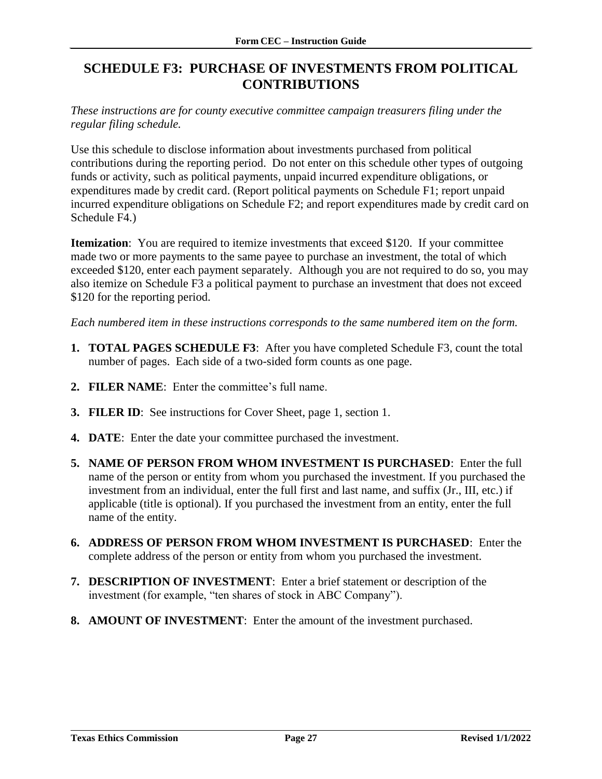### <span id="page-28-0"></span>**SCHEDULE F3: PURCHASE OF INVESTMENTS FROM POLITICAL CONTRIBUTIONS**

*These instructions are for county executive committee campaign treasurers filing under the regular filing schedule.*

Use this schedule to disclose information about investments purchased from political contributions during the reporting period. Do not enter on this schedule other types of outgoing funds or activity, such as political payments, unpaid incurred expenditure obligations, or expenditures made by credit card. (Report political payments on Schedule F1; report unpaid incurred expenditure obligations on Schedule F2; and report expenditures made by credit card on Schedule F4.)

**Itemization**: You are required to itemize investments that exceed \$120. If your committee made two or more payments to the same payee to purchase an investment, the total of which exceeded \$120, enter each payment separately. Although you are not required to do so, you may also itemize on Schedule F3 a political payment to purchase an investment that does not exceed \$120 for the reporting period.

*Each numbered item in these instructions corresponds to the same numbered item on the form.*

- **1. TOTAL PAGES SCHEDULE F3**: After you have completed Schedule F3, count the total number of pages. Each side of a two-sided form counts as one page.
- **2. FILER NAME**: Enter the committee's full name.
- **3. FILER ID**: See instructions for Cover Sheet, page 1, section 1.
- **4. DATE**: Enter the date your committee purchased the investment.
- **5. NAME OF PERSON FROM WHOM INVESTMENT IS PURCHASED**: Enter the full name of the person or entity from whom you purchased the investment. If you purchased the investment from an individual, enter the full first and last name, and suffix (Jr., III, etc.) if applicable (title is optional). If you purchased the investment from an entity, enter the full name of the entity.
- **6. ADDRESS OF PERSON FROM WHOM INVESTMENT IS PURCHASED**: Enter the complete address of the person or entity from whom you purchased the investment.
- **7. DESCRIPTION OF INVESTMENT**: Enter a brief statement or description of the investment (for example, "ten shares of stock in ABC Company").
- **8. AMOUNT OF INVESTMENT**: Enter the amount of the investment purchased.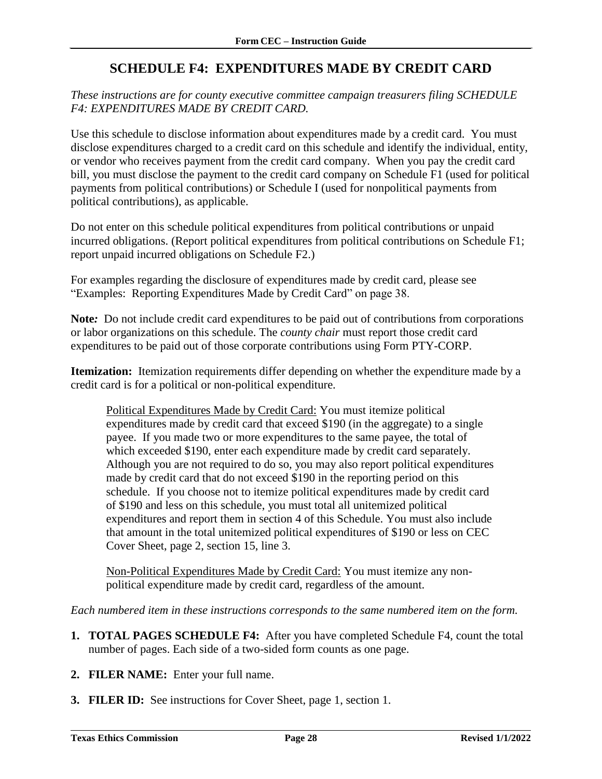### **SCHEDULE F4: EXPENDITURES MADE BY CREDIT CARD**

<span id="page-29-0"></span>*These instructions are for county executive committee campaign treasurers filing SCHEDULE F4: EXPENDITURES MADE BY CREDIT CARD.*

Use this schedule to disclose information about expenditures made by a credit card. You must disclose expenditures charged to a credit card on this schedule and identify the individual, entity, or vendor who receives payment from the credit card company. When you pay the credit card bill, you must disclose the payment to the credit card company on Schedule F1 (used for political payments from political contributions) or Schedule I (used for nonpolitical payments from political contributions), as applicable.

Do not enter on this schedule political expenditures from political contributions or unpaid incurred obligations. (Report political expenditures from political contributions on Schedule F1; report unpaid incurred obligations on Schedule F2.)

For examples regarding the disclosure of expenditures made by credit card, please see "Examples: Reporting Expenditures Made by Credit Card" on page 38.

**Note***:* Do not include credit card expenditures to be paid out of contributions from corporations or labor organizations on this schedule. The *county chair* must report those credit card expenditures to be paid out of those corporate contributions using Form PTY-CORP.

**Itemization:** Itemization requirements differ depending on whether the expenditure made by a credit card is for a political or non-political expenditure.

Political Expenditures Made by Credit Card: You must itemize political expenditures made by credit card that exceed \$190 (in the aggregate) to a single payee. If you made two or more expenditures to the same payee, the total of which exceeded \$190, enter each expenditure made by credit card separately. Although you are not required to do so, you may also report political expenditures made by credit card that do not exceed \$190 in the reporting period on this schedule. If you choose not to itemize political expenditures made by credit card of \$190 and less on this schedule, you must total all unitemized political expenditures and report them in section 4 of this Schedule. You must also include that amount in the total unitemized political expenditures of \$190 or less on CEC Cover Sheet, page 2, section 15, line 3.

Non-Political Expenditures Made by Credit Card: You must itemize any nonpolitical expenditure made by credit card, regardless of the amount.

*Each numbered item in these instructions corresponds to the same numbered item on the form.*

- **1. TOTAL PAGES SCHEDULE F4:** After you have completed Schedule F4, count the total number of pages. Each side of a two-sided form counts as one page.
- **2. FILER NAME:** Enter your full name.
- **3. FILER ID:** See instructions for Cover Sheet, page 1, section 1.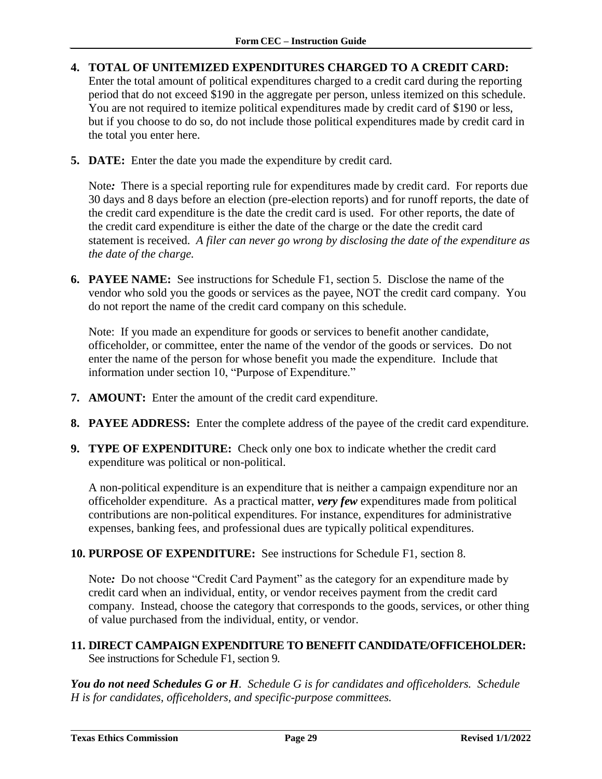- **4. TOTAL OF UNITEMIZED EXPENDITURES CHARGED TO A CREDIT CARD:**  Enter the total amount of political expenditures charged to a credit card during the reporting period that do not exceed \$190 in the aggregate per person, unless itemized on this schedule. You are not required to itemize political expenditures made by credit card of \$190 or less, but if you choose to do so, do not include those political expenditures made by credit card in the total you enter here.
- **5. DATE:** Enter the date you made the expenditure by credit card.

Note*:* There is a special reporting rule for expenditures made by credit card. For reports due 30 days and 8 days before an election (pre-election reports) and for runoff reports, the date of the credit card expenditure is the date the credit card is used. For other reports, the date of the credit card expenditure is either the date of the charge or the date the credit card statement is received. *A filer can never go wrong by disclosing the date of the expenditure as the date of the charge.*

**6. PAYEE NAME:** See instructions for Schedule F1, section 5. Disclose the name of the vendor who sold you the goods or services as the payee, NOT the credit card company. You do not report the name of the credit card company on this schedule.

Note: If you made an expenditure for goods or services to benefit another candidate, officeholder, or committee, enter the name of the vendor of the goods or services. Do not enter the name of the person for whose benefit you made the expenditure. Include that information under section 10, "Purpose of Expenditure."

- **7. AMOUNT:** Enter the amount of the credit card expenditure.
- **8. PAYEE ADDRESS:** Enter the complete address of the payee of the credit card expenditure.
- **9. TYPE OF EXPENDITURE:** Check only one box to indicate whether the credit card expenditure was political or non-political.

A non-political expenditure is an expenditure that is neither a campaign expenditure nor an officeholder expenditure. As a practical matter, *very few* expenditures made from political contributions are non-political expenditures. For instance, expenditures for administrative expenses, banking fees, and professional dues are typically political expenditures.

**10. PURPOSE OF EXPENDITURE:** See instructions for Schedule F1, section 8.

Note*:* Do not choose "Credit Card Payment" as the category for an expenditure made by credit card when an individual, entity, or vendor receives payment from the credit card company. Instead, choose the category that corresponds to the goods, services, or other thing of value purchased from the individual, entity, or vendor.

**11. DIRECT CAMPAIGN EXPENDITURE TO BENEFIT CANDIDATE/OFFICEHOLDER:**  See instructions for Schedule F1, section 9.

*You do not need Schedules G or H. Schedule G is for candidates and officeholders. Schedule H is for candidates, officeholders, and specific-purpose committees.*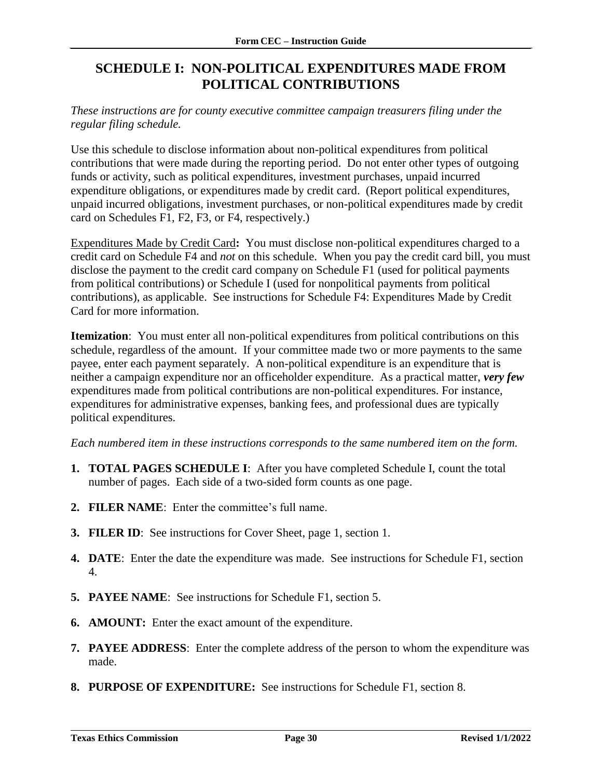### <span id="page-31-0"></span>**SCHEDULE I: NON-POLITICAL EXPENDITURES MADE FROM POLITICAL CONTRIBUTIONS**

#### *These instructions are for county executive committee campaign treasurers filing under the regular filing schedule.*

Use this schedule to disclose information about non-political expenditures from political contributions that were made during the reporting period. Do not enter other types of outgoing funds or activity, such as political expenditures, investment purchases, unpaid incurred expenditure obligations, or expenditures made by credit card. (Report political expenditures, unpaid incurred obligations, investment purchases, or non-political expenditures made by credit card on Schedules F1, F2, F3, or F4, respectively.)

Expenditures Made by Credit Card**:** You must disclose non-political expenditures charged to a credit card on Schedule F4 and *not* on this schedule. When you pay the credit card bill, you must disclose the payment to the credit card company on Schedule F1 (used for political payments from political contributions) or Schedule I (used for nonpolitical payments from political contributions), as applicable. See instructions for Schedule F4: Expenditures Made by Credit Card for more information.

**Itemization**: You must enter all non-political expenditures from political contributions on this schedule, regardless of the amount. If your committee made two or more payments to the same payee, enter each payment separately. A non-political expenditure is an expenditure that is neither a campaign expenditure nor an officeholder expenditure. As a practical matter, *very few* expenditures made from political contributions are non-political expenditures. For instance, expenditures for administrative expenses, banking fees, and professional dues are typically political expenditures.

*Each numbered item in these instructions corresponds to the same numbered item on the form.*

- **1. TOTAL PAGES SCHEDULE I**: After you have completed Schedule I, count the total number of pages. Each side of a two-sided form counts as one page.
- **2. FILER NAME**: Enter the committee's full name.
- **3. FILER ID**: See instructions for Cover Sheet, page 1, section 1.
- **4. DATE**: Enter the date the expenditure was made. See instructions for Schedule F1, section 4.
- **5. PAYEE NAME**: See instructions for Schedule F1, section 5.
- **6. AMOUNT:** Enter the exact amount of the expenditure.
- **7. PAYEE ADDRESS**: Enter the complete address of the person to whom the expenditure was made.
- **8. PURPOSE OF EXPENDITURE:** See instructions for Schedule F1, section 8.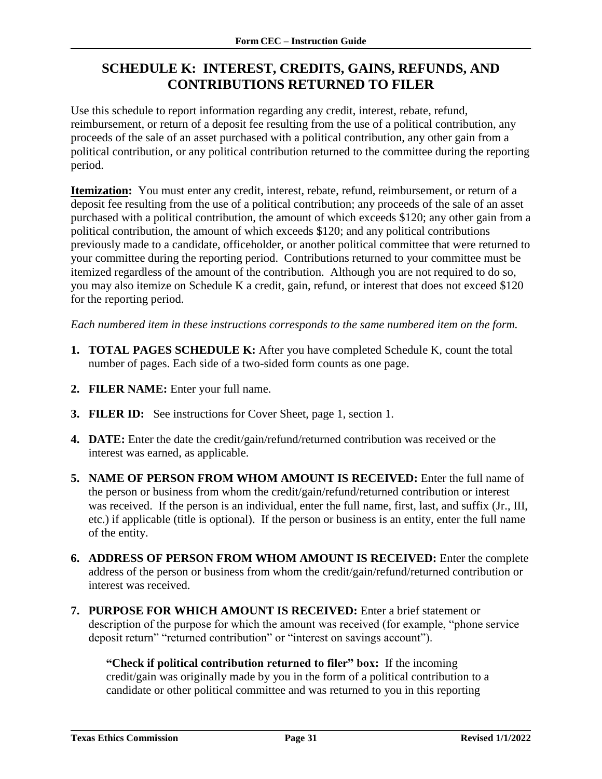### <span id="page-32-0"></span>**SCHEDULE K: INTEREST, CREDITS, GAINS, REFUNDS, AND CONTRIBUTIONS RETURNED TO FILER**

Use this schedule to report information regarding any credit, interest, rebate, refund, reimbursement, or return of a deposit fee resulting from the use of a political contribution, any proceeds of the sale of an asset purchased with a political contribution, any other gain from a political contribution, or any political contribution returned to the committee during the reporting period.

**Itemization:** You must enter any credit, interest, rebate, refund, reimbursement, or return of a deposit fee resulting from the use of a political contribution; any proceeds of the sale of an asset purchased with a political contribution, the amount of which exceeds \$120; any other gain from a political contribution, the amount of which exceeds \$120; and any political contributions previously made to a candidate, officeholder, or another political committee that were returned to your committee during the reporting period. Contributions returned to your committee must be itemized regardless of the amount of the contribution. Although you are not required to do so, you may also itemize on Schedule K a credit, gain, refund, or interest that does not exceed \$120 for the reporting period.

*Each numbered item in these instructions corresponds to the same numbered item on the form.*

- **1. TOTAL PAGES SCHEDULE K:** After you have completed Schedule K, count the total number of pages. Each side of a two-sided form counts as one page.
- **2. FILER NAME:** Enter your full name.
- **3. FILER ID:** See instructions for Cover Sheet, page 1, section 1.
- **4. DATE:** Enter the date the credit/gain/refund/returned contribution was received or the interest was earned, as applicable.
- **5. NAME OF PERSON FROM WHOM AMOUNT IS RECEIVED:** Enter the full name of the person or business from whom the credit/gain/refund/returned contribution or interest was received. If the person is an individual, enter the full name, first, last, and suffix (Jr., III, etc.) if applicable (title is optional). If the person or business is an entity, enter the full name of the entity.
- **6. ADDRESS OF PERSON FROM WHOM AMOUNT IS RECEIVED:** Enter the complete address of the person or business from whom the credit/gain/refund/returned contribution or interest was received.
- **7. PURPOSE FOR WHICH AMOUNT IS RECEIVED:** Enter a brief statement or description of the purpose for which the amount was received (for example, "phone service deposit return" "returned contribution" or "interest on savings account").

**"Check if political contribution returned to filer" box:** If the incoming credit/gain was originally made by you in the form of a political contribution to a candidate or other political committee and was returned to you in this reporting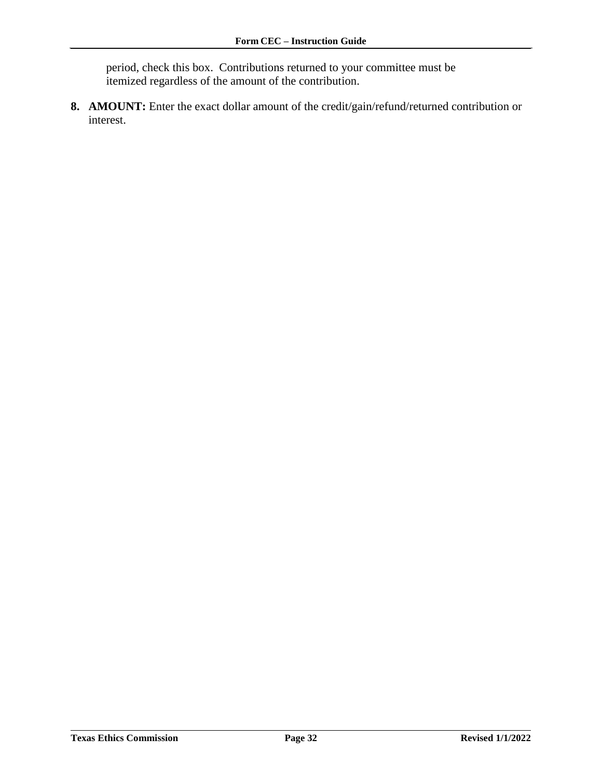period, check this box. Contributions returned to your committee must be itemized regardless of the amount of the contribution.

**8. AMOUNT:** Enter the exact dollar amount of the credit/gain/refund/returned contribution or interest.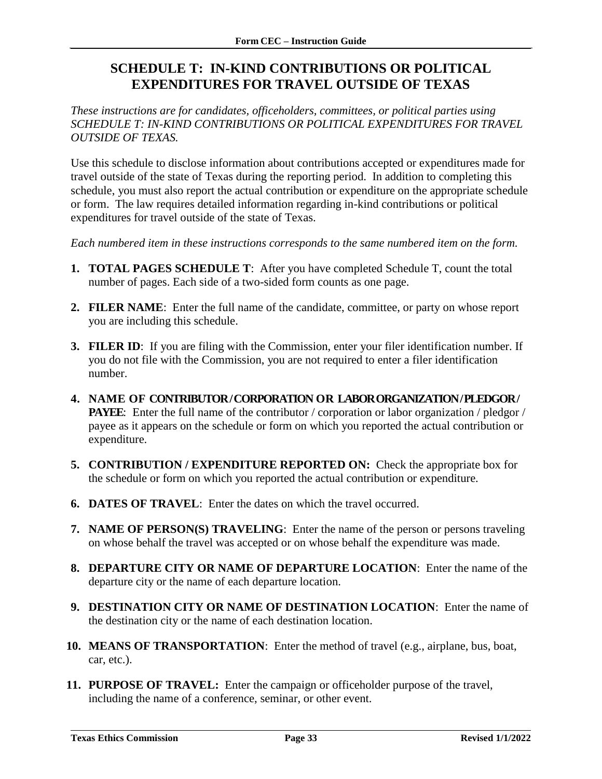### <span id="page-34-0"></span>**SCHEDULE T: IN-KIND CONTRIBUTIONS OR POLITICAL EXPENDITURES FOR TRAVEL OUTSIDE OF TEXAS**

*These instructions are for candidates, officeholders, committees, or political parties using SCHEDULE T: IN-KIND CONTRIBUTIONS OR POLITICAL EXPENDITURES FOR TRAVEL OUTSIDE OF TEXAS.*

Use this schedule to disclose information about contributions accepted or expenditures made for travel outside of the state of Texas during the reporting period. In addition to completing this schedule, you must also report the actual contribution or expenditure on the appropriate schedule or form. The law requires detailed information regarding in-kind contributions or political expenditures for travel outside of the state of Texas.

*Each numbered item in these instructions corresponds to the same numbered item on the form.*

- **1. TOTAL PAGES SCHEDULE T**: After you have completed Schedule T, count the total number of pages. Each side of a two-sided form counts as one page.
- **2. FILER NAME**: Enter the full name of the candidate, committee, or party on whose report you are including this schedule.
- **3. FILER ID**: If you are filing with the Commission, enter your filer identification number. If you do not file with the Commission, you are not required to enter a filer identification number.
- **4. NAME OF CONTRIBUTOR / CORPORATION OR LABOR ORGANIZATION / PLEDGOR / PAYEE:** Enter the full name of the contributor / corporation or labor organization / pledgor / payee as it appears on the schedule or form on which you reported the actual contribution or expenditure.
- **5. CONTRIBUTION / EXPENDITURE REPORTED ON:** Check the appropriate box for the schedule or form on which you reported the actual contribution or expenditure.
- **6. DATES OF TRAVEL**: Enter the dates on which the travel occurred.
- **7. NAME OF PERSON(S) TRAVELING**: Enter the name of the person or persons traveling on whose behalf the travel was accepted or on whose behalf the expenditure was made.
- **8. DEPARTURE CITY OR NAME OF DEPARTURE LOCATION**: Enter the name of the departure city or the name of each departure location.
- **9. DESTINATION CITY OR NAME OF DESTINATION LOCATION**: Enter the name of the destination city or the name of each destination location.
- **10. MEANS OF TRANSPORTATION**: Enter the method of travel (e.g., airplane, bus, boat, car, etc.).
- **11. PURPOSE OF TRAVEL:** Enter the campaign or officeholder purpose of the travel, including the name of a conference, seminar, or other event.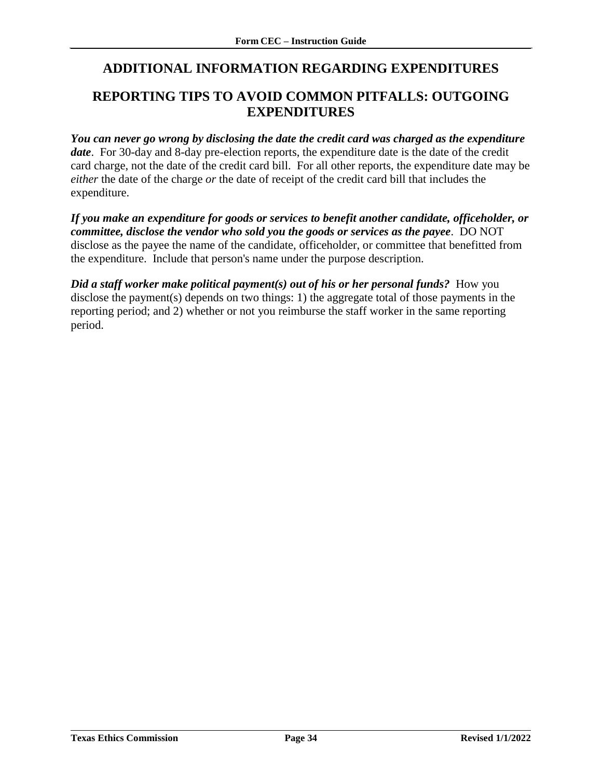### <span id="page-35-0"></span>**ADDITIONAL INFORMATION REGARDING EXPENDITURES**

### <span id="page-35-1"></span>**REPORTING TIPS TO AVOID COMMON PITFALLS: OUTGOING EXPENDITURES**

*You can never go wrong by disclosing the date the credit card was charged as the expenditure date*. For 30-day and 8-day pre-election reports, the expenditure date is the date of the credit card charge, not the date of the credit card bill. For all other reports, the expenditure date may be *either* the date of the charge *or* the date of receipt of the credit card bill that includes the expenditure.

*If you make an expenditure for goods or services to benefit another candidate, officeholder, or committee, disclose the vendor who sold you the goods or services as the payee*. DO NOT disclose as the payee the name of the candidate, officeholder, or committee that benefitted from the expenditure. Include that person's name under the purpose description.

*Did a staff worker make political payment(s) out of his or her personal funds?* **How you** disclose the payment(s) depends on two things: 1) the aggregate total of those payments in the reporting period; and 2) whether or not you reimburse the staff worker in the same reporting period.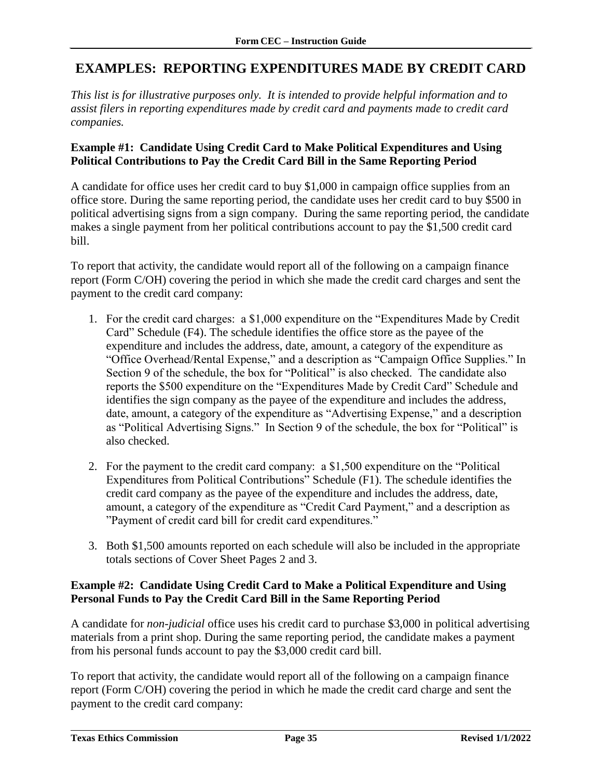### <span id="page-36-0"></span>**EXAMPLES: REPORTING EXPENDITURES MADE BY CREDIT CARD**

*This list is for illustrative purposes only. It is intended to provide helpful information and to assist filers in reporting expenditures made by credit card and payments made to credit card companies.*

#### **Example #1: Candidate Using Credit Card to Make Political Expenditures and Using Political Contributions to Pay the Credit Card Bill in the Same Reporting Period**

A candidate for office uses her credit card to buy \$1,000 in campaign office supplies from an office store. During the same reporting period, the candidate uses her credit card to buy \$500 in political advertising signs from a sign company. During the same reporting period, the candidate makes a single payment from her political contributions account to pay the \$1,500 credit card bill.

To report that activity, the candidate would report all of the following on a campaign finance report (Form C/OH) covering the period in which she made the credit card charges and sent the payment to the credit card company:

- 1. For the credit card charges: a \$1,000 expenditure on the "Expenditures Made by Credit Card" Schedule (F4). The schedule identifies the office store as the payee of the expenditure and includes the address, date, amount, a category of the expenditure as "Office Overhead/Rental Expense," and a description as "Campaign Office Supplies." In Section 9 of the schedule, the box for "Political" is also checked. The candidate also reports the \$500 expenditure on the "Expenditures Made by Credit Card" Schedule and identifies the sign company as the payee of the expenditure and includes the address, date, amount, a category of the expenditure as "Advertising Expense," and a description as "Political Advertising Signs." In Section 9 of the schedule, the box for "Political" is also checked.
- 2. For the payment to the credit card company: a \$1,500 expenditure on the "Political Expenditures from Political Contributions" Schedule (F1). The schedule identifies the credit card company as the payee of the expenditure and includes the address, date, amount, a category of the expenditure as "Credit Card Payment," and a description as "Payment of credit card bill for credit card expenditures."
- 3. Both \$1,500 amounts reported on each schedule will also be included in the appropriate totals sections of Cover Sheet Pages 2 and 3.

#### **Example #2: Candidate Using Credit Card to Make a Political Expenditure and Using Personal Funds to Pay the Credit Card Bill in the Same Reporting Period**

A candidate for *non-judicial* office uses his credit card to purchase \$3,000 in political advertising materials from a print shop. During the same reporting period, the candidate makes a payment from his personal funds account to pay the \$3,000 credit card bill.

To report that activity, the candidate would report all of the following on a campaign finance report (Form C/OH) covering the period in which he made the credit card charge and sent the payment to the credit card company: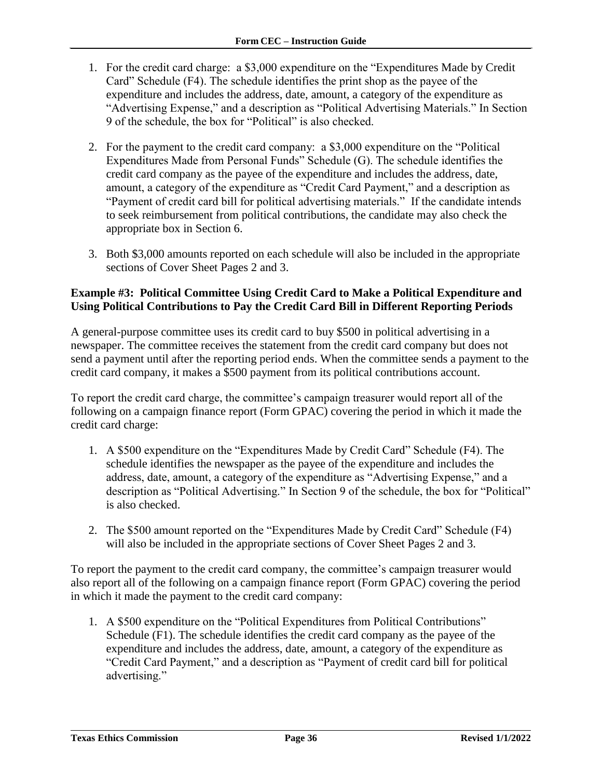- 1. For the credit card charge: a \$3,000 expenditure on the "Expenditures Made by Credit Card" Schedule (F4). The schedule identifies the print shop as the payee of the expenditure and includes the address, date, amount, a category of the expenditure as "Advertising Expense," and a description as "Political Advertising Materials." In Section 9 of the schedule, the box for "Political" is also checked.
- 2. For the payment to the credit card company: a \$3,000 expenditure on the "Political Expenditures Made from Personal Funds" Schedule (G). The schedule identifies the credit card company as the payee of the expenditure and includes the address, date, amount, a category of the expenditure as "Credit Card Payment," and a description as "Payment of credit card bill for political advertising materials." If the candidate intends to seek reimbursement from political contributions, the candidate may also check the appropriate box in Section 6.
- 3. Both \$3,000 amounts reported on each schedule will also be included in the appropriate sections of Cover Sheet Pages 2 and 3.

#### **Example #3: Political Committee Using Credit Card to Make a Political Expenditure and Using Political Contributions to Pay the Credit Card Bill in Different Reporting Periods**

A general-purpose committee uses its credit card to buy \$500 in political advertising in a newspaper. The committee receives the statement from the credit card company but does not send a payment until after the reporting period ends. When the committee sends a payment to the credit card company, it makes a \$500 payment from its political contributions account.

To report the credit card charge, the committee's campaign treasurer would report all of the following on a campaign finance report (Form GPAC) covering the period in which it made the credit card charge:

- 1. A \$500 expenditure on the "Expenditures Made by Credit Card" Schedule (F4). The schedule identifies the newspaper as the payee of the expenditure and includes the address, date, amount, a category of the expenditure as "Advertising Expense," and a description as "Political Advertising." In Section 9 of the schedule, the box for "Political" is also checked.
- 2. The \$500 amount reported on the "Expenditures Made by Credit Card" Schedule (F4) will also be included in the appropriate sections of Cover Sheet Pages 2 and 3.

To report the payment to the credit card company, the committee's campaign treasurer would also report all of the following on a campaign finance report (Form GPAC) covering the period in which it made the payment to the credit card company:

1. A \$500 expenditure on the "Political Expenditures from Political Contributions" Schedule (F1). The schedule identifies the credit card company as the payee of the expenditure and includes the address, date, amount, a category of the expenditure as "Credit Card Payment," and a description as "Payment of credit card bill for political advertising."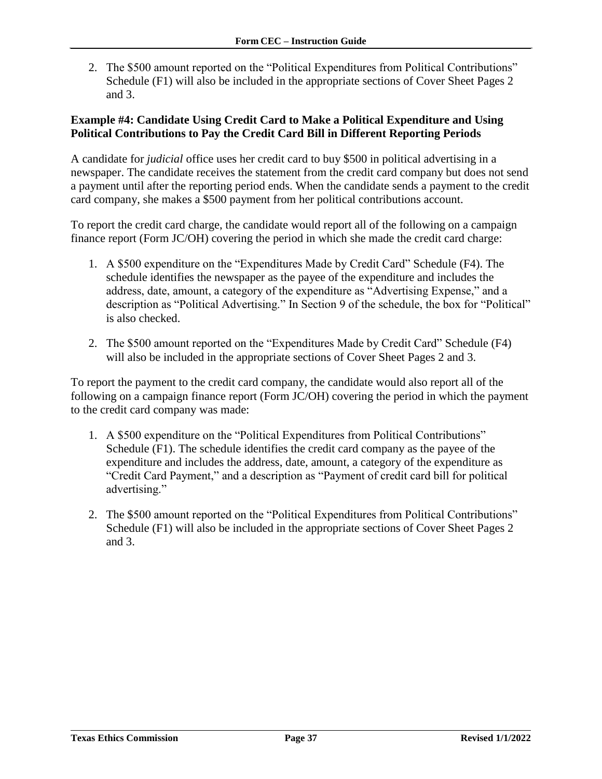2. The \$500 amount reported on the "Political Expenditures from Political Contributions" Schedule (F1) will also be included in the appropriate sections of Cover Sheet Pages 2 and 3.

#### **Example #4: Candidate Using Credit Card to Make a Political Expenditure and Using Political Contributions to Pay the Credit Card Bill in Different Reporting Periods**

A candidate for *judicial* office uses her credit card to buy \$500 in political advertising in a newspaper. The candidate receives the statement from the credit card company but does not send a payment until after the reporting period ends. When the candidate sends a payment to the credit card company, she makes a \$500 payment from her political contributions account.

To report the credit card charge, the candidate would report all of the following on a campaign finance report (Form JC/OH) covering the period in which she made the credit card charge:

- 1. A \$500 expenditure on the "Expenditures Made by Credit Card" Schedule (F4). The schedule identifies the newspaper as the payee of the expenditure and includes the address, date, amount, a category of the expenditure as "Advertising Expense," and a description as "Political Advertising." In Section 9 of the schedule, the box for "Political" is also checked.
- 2. The \$500 amount reported on the "Expenditures Made by Credit Card" Schedule (F4) will also be included in the appropriate sections of Cover Sheet Pages 2 and 3.

To report the payment to the credit card company, the candidate would also report all of the following on a campaign finance report (Form JC/OH) covering the period in which the payment to the credit card company was made:

- 1. A \$500 expenditure on the "Political Expenditures from Political Contributions" Schedule (F1). The schedule identifies the credit card company as the payee of the expenditure and includes the address, date, amount, a category of the expenditure as "Credit Card Payment," and a description as "Payment of credit card bill for political advertising."
- 2. The \$500 amount reported on the "Political Expenditures from Political Contributions" Schedule (F1) will also be included in the appropriate sections of Cover Sheet Pages 2 and 3.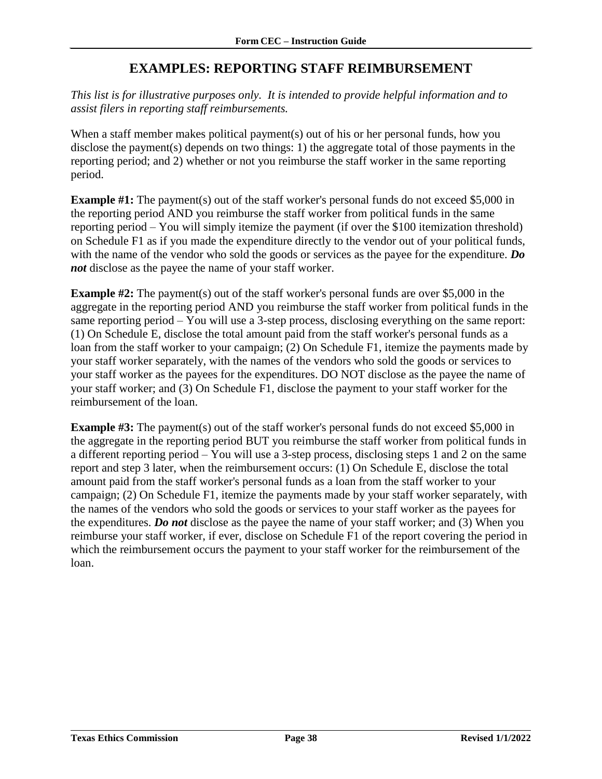### **EXAMPLES: REPORTING STAFF REIMBURSEMENT**

<span id="page-39-0"></span>*This list is for illustrative purposes only. It is intended to provide helpful information and to assist filers in reporting staff reimbursements.* 

When a staff member makes political payment(s) out of his or her personal funds, how you disclose the payment(s) depends on two things: 1) the aggregate total of those payments in the reporting period; and 2) whether or not you reimburse the staff worker in the same reporting period.

**Example #1:** The payment(s) out of the staff worker's personal funds do not exceed \$5,000 in the reporting period AND you reimburse the staff worker from political funds in the same reporting period – You will simply itemize the payment (if over the \$100 itemization threshold) on Schedule F1 as if you made the expenditure directly to the vendor out of your political funds, with the name of the vendor who sold the goods or services as the payee for the expenditure. *Do not* disclose as the payee the name of your staff worker.

**Example #2:** The payment(s) out of the staff worker's personal funds are over \$5,000 in the aggregate in the reporting period AND you reimburse the staff worker from political funds in the same reporting period – You will use a 3-step process, disclosing everything on the same report: (1) On Schedule E, disclose the total amount paid from the staff worker's personal funds as a loan from the staff worker to your campaign; (2) On Schedule F1, itemize the payments made by your staff worker separately, with the names of the vendors who sold the goods or services to your staff worker as the payees for the expenditures. DO NOT disclose as the payee the name of your staff worker; and (3) On Schedule F1, disclose the payment to your staff worker for the reimbursement of the loan.

**Example #3:** The payment(s) out of the staff worker's personal funds do not exceed \$5,000 in the aggregate in the reporting period BUT you reimburse the staff worker from political funds in a different reporting period – You will use a 3-step process, disclosing steps 1 and 2 on the same report and step 3 later, when the reimbursement occurs: (1) On Schedule E, disclose the total amount paid from the staff worker's personal funds as a loan from the staff worker to your campaign; (2) On Schedule F1, itemize the payments made by your staff worker separately, with the names of the vendors who sold the goods or services to your staff worker as the payees for the expenditures. *Do not* disclose as the payee the name of your staff worker; and (3) When you reimburse your staff worker, if ever, disclose on Schedule F1 of the report covering the period in which the reimbursement occurs the payment to your staff worker for the reimbursement of the loan.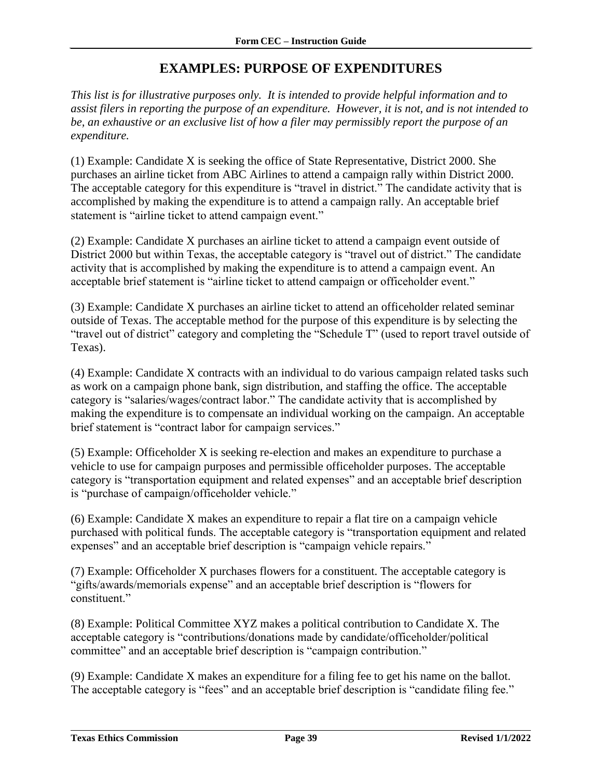### **EXAMPLES: PURPOSE OF EXPENDITURES**

<span id="page-40-0"></span>*This list is for illustrative purposes only. It is intended to provide helpful information and to assist filers in reporting the purpose of an expenditure. However, it is not, and is not intended to be, an exhaustive or an exclusive list of how a filer may permissibly report the purpose of an expenditure.*

(1) Example: Candidate X is seeking the office of State Representative, District 2000. She purchases an airline ticket from ABC Airlines to attend a campaign rally within District 2000. The acceptable category for this expenditure is "travel in district." The candidate activity that is accomplished by making the expenditure is to attend a campaign rally. An acceptable brief statement is "airline ticket to attend campaign event."

(2) Example: Candidate X purchases an airline ticket to attend a campaign event outside of District 2000 but within Texas, the acceptable category is "travel out of district." The candidate activity that is accomplished by making the expenditure is to attend a campaign event. An acceptable brief statement is "airline ticket to attend campaign or officeholder event."

(3) Example: Candidate X purchases an airline ticket to attend an officeholder related seminar outside of Texas. The acceptable method for the purpose of this expenditure is by selecting the "travel out of district" category and completing the "Schedule T" (used to report travel outside of Texas).

(4) Example: Candidate X contracts with an individual to do various campaign related tasks such as work on a campaign phone bank, sign distribution, and staffing the office. The acceptable category is "salaries/wages/contract labor." The candidate activity that is accomplished by making the expenditure is to compensate an individual working on the campaign. An acceptable brief statement is "contract labor for campaign services."

(5) Example: Officeholder X is seeking re-election and makes an expenditure to purchase a vehicle to use for campaign purposes and permissible officeholder purposes. The acceptable category is "transportation equipment and related expenses" and an acceptable brief description is "purchase of campaign/officeholder vehicle."

(6) Example: Candidate X makes an expenditure to repair a flat tire on a campaign vehicle purchased with political funds. The acceptable category is "transportation equipment and related expenses" and an acceptable brief description is "campaign vehicle repairs."

(7) Example: Officeholder X purchases flowers for a constituent. The acceptable category is "gifts/awards/memorials expense" and an acceptable brief description is "flowers for constituent."

(8) Example: Political Committee XYZ makes a political contribution to Candidate X. The acceptable category is "contributions/donations made by candidate/officeholder/political committee" and an acceptable brief description is "campaign contribution."

(9) Example: Candidate X makes an expenditure for a filing fee to get his name on the ballot. The acceptable category is "fees" and an acceptable brief description is "candidate filing fee."